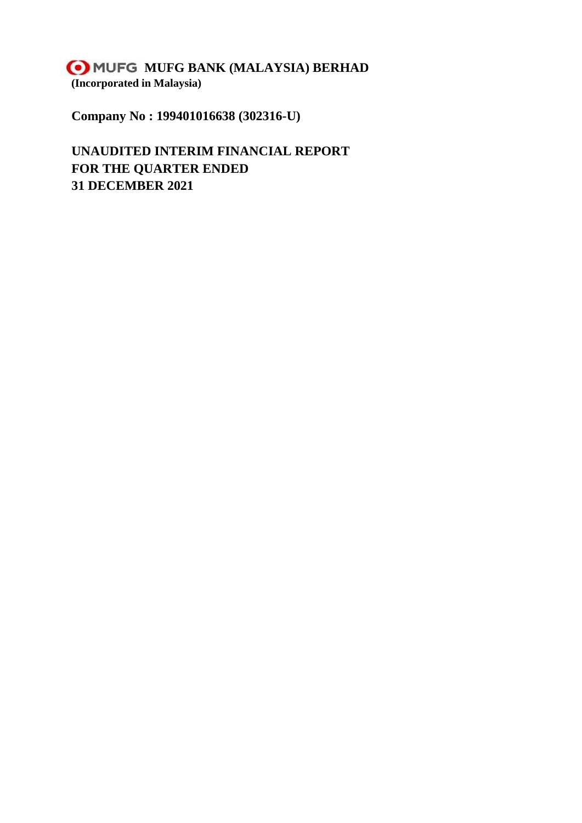**MUFG MUFG BANK (MALAYSIA) BERHAD (Incorporated in Malaysia)**

**Company No : 199401016638 (302316-U)**

**UNAUDITED INTERIM FINANCIAL REPORT FOR THE QUARTER ENDED 31 DECEMBER 2021**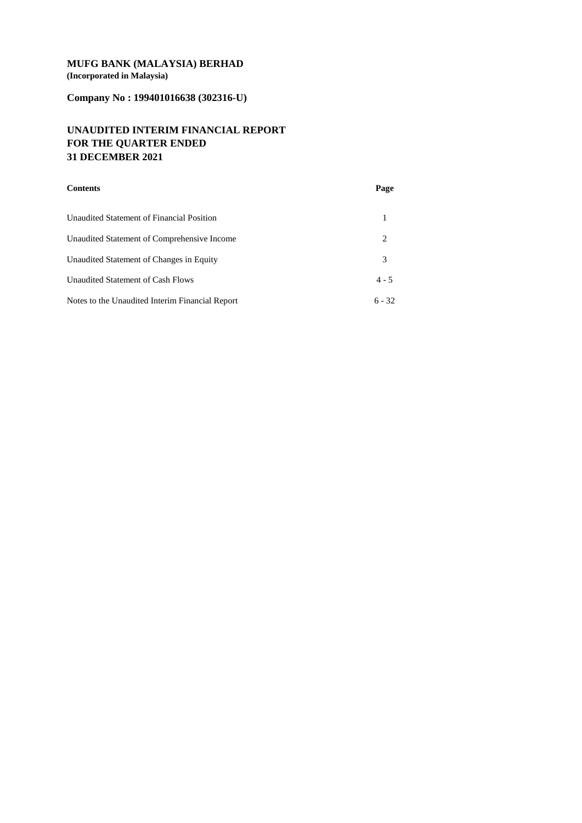## **MUFG BANK (MALAYSIA) BERHAD (Incorporated in Malaysia)**

# **Company No : 199401016638 (302316-U)**

## **UNAUDITED INTERIM FINANCIAL REPORT FOR THE QUARTER ENDED 31 DECEMBER 2021**

| <b>Contents</b>                                 | Page     |
|-------------------------------------------------|----------|
| Unaudited Statement of Financial Position       |          |
| Unaudited Statement of Comprehensive Income     | 2        |
| Unaudited Statement of Changes in Equity        | 3        |
| Unaudited Statement of Cash Flows               | $4 - 5$  |
| Notes to the Unaudited Interim Financial Report | $6 - 32$ |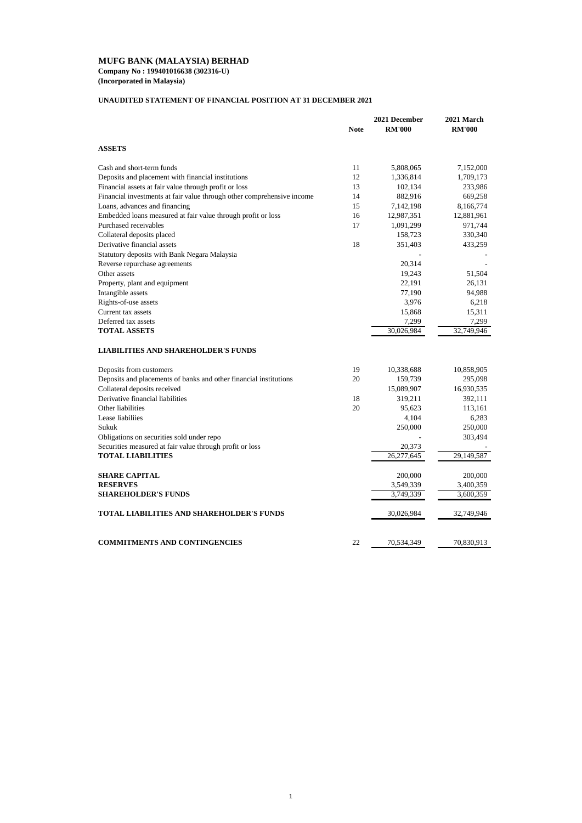**Company No : 199401016638 (302316-U) (Incorporated in Malaysia)**

## **UNAUDITED STATEMENT OF FINANCIAL POSITION AT 31 DECEMBER 2021**

|                                                                        |             | 2021 December | 2021 March    |
|------------------------------------------------------------------------|-------------|---------------|---------------|
|                                                                        | <b>Note</b> | <b>RM'000</b> | <b>RM'000</b> |
| <b>ASSETS</b>                                                          |             |               |               |
| Cash and short-term funds                                              | 11          | 5,808,065     | 7,152,000     |
| Deposits and placement with financial institutions                     | 12          | 1,336,814     | 1,709,173     |
| Financial assets at fair value through profit or loss                  | 13          | 102,134       | 233,986       |
| Financial investments at fair value through other comprehensive income | 14          | 882,916       | 669,258       |
| Loans, advances and financing                                          | 15          | 7,142,198     | 8,166,774     |
| Embedded loans measured at fair value through profit or loss           | 16          | 12,987,351    | 12,881,961    |
| Purchased receivables                                                  | 17          | 1,091,299     | 971,744       |
| Collateral deposits placed                                             |             | 158,723       | 330,340       |
| Derivative financial assets                                            | 18          | 351,403       | 433,259       |
| Statutory deposits with Bank Negara Malaysia                           |             |               |               |
| Reverse repurchase agreements                                          |             | 20,314        |               |
| Other assets                                                           |             | 19,243        | 51,504        |
| Property, plant and equipment                                          |             | 22,191        | 26,131        |
| Intangible assets                                                      |             | 77,190        | 94,988        |
| Rights-of-use assets                                                   |             | 3,976         | 6,218         |
| Current tax assets                                                     |             | 15,868        | 15,311        |
| Deferred tax assets                                                    |             | 7,299         | 7,299         |
| <b>TOTAL ASSETS</b>                                                    |             | 30,026,984    | 32,749,946    |
| <b>LIABILITIES AND SHAREHOLDER'S FUNDS</b>                             |             |               |               |
| Deposits from customers                                                | 19          | 10,338,688    | 10,858,905    |
| Deposits and placements of banks and other financial institutions      | 20          | 159,739       | 295,098       |
| Collateral deposits received                                           |             | 15,089,907    | 16,930,535    |
| Derivative financial liabilities                                       | 18          | 319,211       | 392,111       |
| Other liabilities                                                      | 20          | 95,623        | 113,161       |
| Lease liabiliies                                                       |             | 4,104         | 6,283         |
| Sukuk                                                                  |             | 250,000       | 250,000       |
| Obligations on securities sold under repo                              |             |               | 303,494       |
| Securities measured at fair value through profit or loss               |             | 20,373        |               |
| <b>TOTAL LIABILITIES</b>                                               |             | 26,277,645    | 29,149,587    |
|                                                                        |             |               |               |
| <b>SHARE CAPITAL</b>                                                   |             | 200,000       | 200,000       |
| <b>RESERVES</b>                                                        |             | 3,549,339     | 3,400,359     |
| <b>SHAREHOLDER'S FUNDS</b>                                             |             | 3,749,339     | 3,600,359     |
| <b>TOTAL LIABILITIES AND SHAREHOLDER'S FUNDS</b>                       |             | 30,026,984    | 32,749,946    |
| <b>COMMITMENTS AND CONTINGENCIES</b>                                   | 22          | 70,534,349    | 70,830,913    |
|                                                                        |             |               |               |

## 1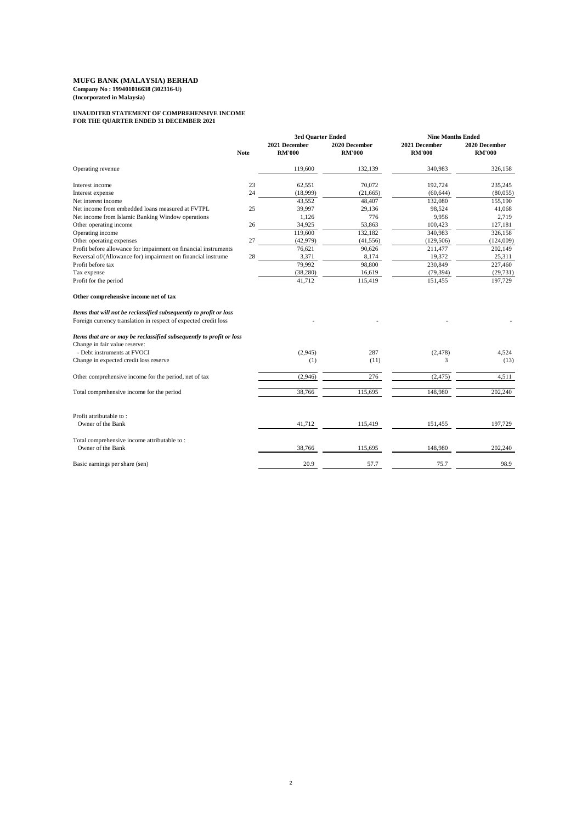**Company No : 199401016638 (302316-U) (Incorporated in Malaysia)**

## **UNAUDITED STATEMENT OF COMPREHENSIVE INCOME FOR THE QUARTER ENDED 31 DECEMBER 2021**

|                                                                                                                                                                                                                                                        |             | <b>3rd Quarter Ended</b>       |                                | <b>Nine Months Ended</b>       |                                |
|--------------------------------------------------------------------------------------------------------------------------------------------------------------------------------------------------------------------------------------------------------|-------------|--------------------------------|--------------------------------|--------------------------------|--------------------------------|
|                                                                                                                                                                                                                                                        | <b>Note</b> | 2021 December<br><b>RM'000</b> | 2020 December<br><b>RM'000</b> | 2021 December<br><b>RM'000</b> | 2020 December<br><b>RM'000</b> |
| Operating revenue                                                                                                                                                                                                                                      |             | 119,600                        | 132,139                        | 340,983                        | 326,158                        |
| Interest income                                                                                                                                                                                                                                        | 23          | 62,551                         | 70,072                         | 192,724                        | 235,245                        |
| Interest expense                                                                                                                                                                                                                                       | 24          | (18,999)                       | (21,665)                       | (60, 644)                      | (80,055)                       |
| Net interest income                                                                                                                                                                                                                                    |             | 43,552                         | 48,407                         | 132,080                        | 155,190                        |
| Net income from embedded loans measured at FVTPL                                                                                                                                                                                                       | 25          | 39,997                         | 29,136                         | 98,524                         | 41,068                         |
| Net income from Islamic Banking Window operations                                                                                                                                                                                                      |             | 1,126                          | 776                            | 9,956                          | 2,719                          |
| Other operating income                                                                                                                                                                                                                                 | 26          | 34,925                         | 53,863                         | 100,423                        | 127,181                        |
| Operating income                                                                                                                                                                                                                                       |             | 119,600                        | 132,182                        | 340,983                        | 326,158                        |
| Other operating expenses                                                                                                                                                                                                                               | 27          | (42, 979)                      | (41, 556)                      | (129, 506)                     | (124,009)                      |
| Profit before allowance for impairment on financial instruments                                                                                                                                                                                        |             | 76,621                         | 90,626                         | 211,477                        | 202,149                        |
| Reversal of/(Allowance for) impairment on financial instrume                                                                                                                                                                                           | $28\,$      | 3,371                          | 8,174                          | 19,372                         | 25,311                         |
| Profit before tax                                                                                                                                                                                                                                      |             | 79,992                         | 98,800                         | 230,849                        | 227,460                        |
| Tax expense                                                                                                                                                                                                                                            |             | (38, 280)                      | 16,619                         | (79, 394)                      | (29, 731)                      |
| Profit for the period                                                                                                                                                                                                                                  |             | 41,712                         | 115,419                        | 151,455                        | 197,729                        |
| Other comprehensive income net of tax<br>Items that will not be reclassified subsequently to profit or loss<br>Foreign currency translation in respect of expected credit loss<br>Items that are or may be reclassified subsequently to profit or loss |             |                                |                                |                                |                                |
| Change in fair value reserve:                                                                                                                                                                                                                          |             |                                |                                |                                |                                |
| - Debt instruments at FVOCI                                                                                                                                                                                                                            |             | (2,945)                        | 287                            | (2,478)                        | 4,524                          |
| Change in expected credit loss reserve                                                                                                                                                                                                                 |             | (1)                            | (11)                           | 3                              | (13)                           |
|                                                                                                                                                                                                                                                        |             |                                |                                |                                |                                |
| Other comprehensive income for the period, net of tax                                                                                                                                                                                                  |             | (2,946)                        | 276                            | (2, 475)                       | 4,511                          |
| Total comprehensive income for the period                                                                                                                                                                                                              |             | 38,766                         | 115,695                        | 148,980                        | 202,240                        |
| Profit attributable to:<br>Owner of the Bank                                                                                                                                                                                                           |             | 41,712                         | 115,419                        | 151,455                        | 197,729                        |
| Total comprehensive income attributable to:                                                                                                                                                                                                            |             |                                |                                |                                |                                |
| Owner of the Bank                                                                                                                                                                                                                                      |             | 38,766                         | 115,695                        | 148,980                        | 202,240                        |
| Basic earnings per share (sen)                                                                                                                                                                                                                         |             | 20.9                           | 57.7                           | 75.7                           | 98.9                           |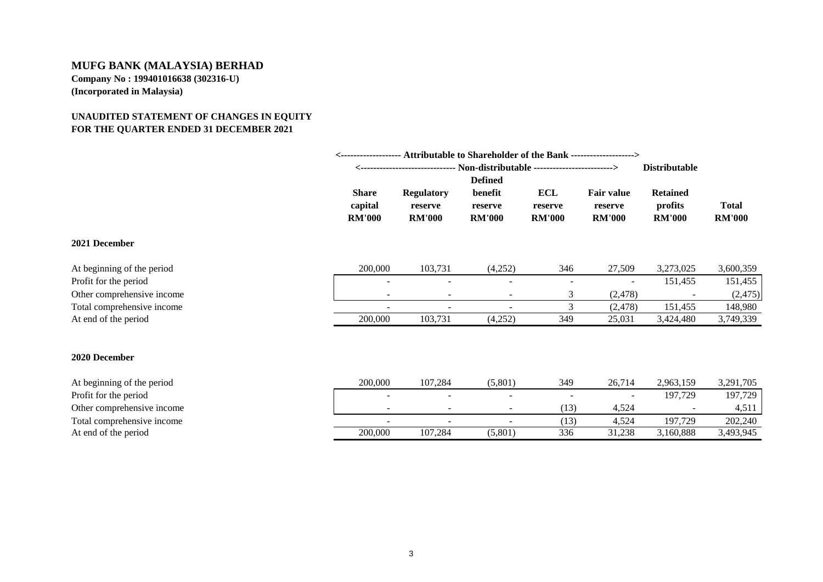## **UNAUDITED STATEMENT OF CHANGES IN EQUITY FOR THE QUARTER ENDED 31 DECEMBER 2021**

|                            | <------------------- Attributable to Shareholder of the Bank -------------------> |                                                                               |                                     |                                        |                                               |                                             |                               |
|----------------------------|-----------------------------------------------------------------------------------|-------------------------------------------------------------------------------|-------------------------------------|----------------------------------------|-----------------------------------------------|---------------------------------------------|-------------------------------|
|                            |                                                                                   | <------------------------------- Non-distributable -------------------------> |                                     |                                        |                                               | <b>Distributable</b>                        |                               |
|                            |                                                                                   |                                                                               | <b>Defined</b>                      |                                        |                                               |                                             |                               |
|                            | <b>Share</b><br>capital<br><b>RM'000</b>                                          | <b>Regulatory</b><br>reserve<br><b>RM'000</b>                                 | benefit<br>reserve<br><b>RM'000</b> | <b>ECL</b><br>reserve<br><b>RM'000</b> | <b>Fair value</b><br>reserve<br><b>RM'000</b> | <b>Retained</b><br>profits<br><b>RM'000</b> | <b>Total</b><br><b>RM'000</b> |
| 2021 December              |                                                                                   |                                                                               |                                     |                                        |                                               |                                             |                               |
| At beginning of the period | 200,000                                                                           | 103,731                                                                       | (4,252)                             | 346                                    | 27,509                                        | 3,273,025                                   | 3,600,359                     |
| Profit for the period      |                                                                                   |                                                                               | $\overline{\phantom{0}}$            |                                        |                                               | 151,455                                     | 151,455                       |
| Other comprehensive income |                                                                                   |                                                                               | $\overline{\phantom{0}}$            | 3                                      | (2, 478)                                      |                                             | (2, 475)                      |
| Total comprehensive income | $\overline{\phantom{0}}$                                                          |                                                                               | $\blacksquare$                      | $\mathfrak{Z}$                         | (2, 478)                                      | 151,455                                     | 148,980                       |
| At end of the period       | 200,000                                                                           | 103,731                                                                       | (4,252)                             | 349                                    | 25,031                                        | 3,424,480                                   | 3,749,339                     |
| 2020 December              |                                                                                   |                                                                               |                                     |                                        |                                               |                                             |                               |
| At beginning of the period | 200,000                                                                           | 107,284                                                                       | (5,801)                             | 349                                    | 26,714                                        | 2,963,159                                   | 3,291,705                     |
| Profit for the period      |                                                                                   |                                                                               | $\overline{\phantom{0}}$            |                                        |                                               | 197,729                                     | 197,729                       |
| Other comprehensive income |                                                                                   |                                                                               | $\overline{\phantom{0}}$            | (13)                                   | 4,524                                         |                                             | 4,511                         |
| Total comprehensive income | ۰                                                                                 |                                                                               |                                     | (13)                                   | 4,524                                         | 197,729                                     | 202,240                       |
| At end of the period       | 200,000                                                                           | 107,284                                                                       | (5,801)                             | 336                                    | 31,238                                        | 3,160,888                                   | 3,493,945                     |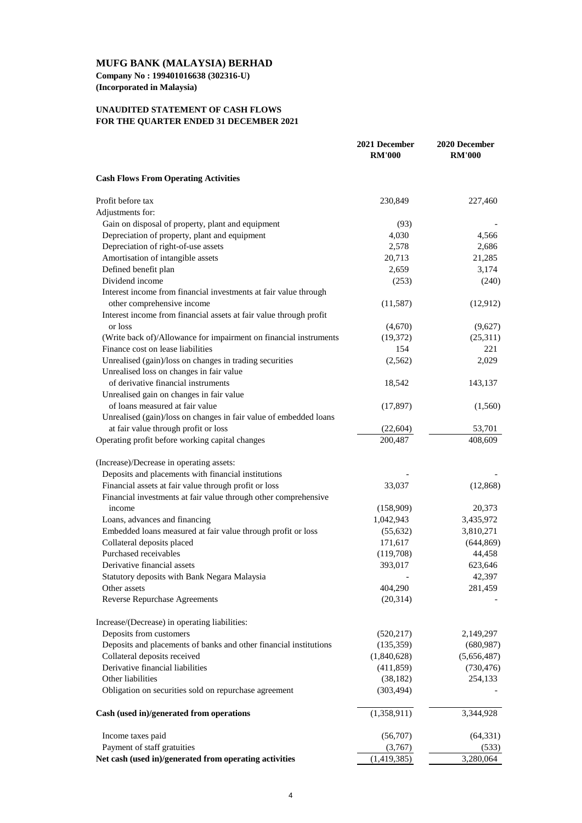**Company No : 199401016638 (302316-U) (Incorporated in Malaysia)**

### **UNAUDITED STATEMENT OF CASH FLOWS FOR THE QUARTER ENDED 31 DECEMBER 2021**

| <b>Cash Flows From Operating Activities</b><br>Profit before tax<br>230,849<br>227,460<br>Adjustments for:<br>Gain on disposal of property, plant and equipment<br>(93)<br>Depreciation of property, plant and equipment<br>4,030<br>4,566<br>Depreciation of right-of-use assets<br>2,578<br>2,686<br>Amortisation of intangible assets<br>20,713<br>21,285<br>Defined benefit plan<br>2,659<br>3,174<br>Dividend income<br>(240)<br>(253)<br>Interest income from financial investments at fair value through<br>other comprehensive income<br>(11,587)<br>(12,912)<br>Interest income from financial assets at fair value through profit<br>or loss<br>(4,670)<br>(9,627)<br>(Write back of)/Allowance for impairment on financial instruments<br>(25,311)<br>(19,372)<br>Finance cost on lease liabilities<br>221<br>154<br>Unrealised (gain)/loss on changes in trading securities<br>2,029<br>(2,562)<br>Unrealised loss on changes in fair value<br>of derivative financial instruments<br>18,542<br>143,137<br>Unrealised gain on changes in fair value<br>of loans measured at fair value<br>(17, 897)<br>(1,560)<br>Unrealised (gain)/loss on changes in fair value of embedded loans<br>at fair value through profit or loss<br>53,701<br>(22,604)<br>Operating profit before working capital changes<br>200,487<br>408,609<br>(Increase)/Decrease in operating assets:<br>Deposits and placements with financial institutions<br>Financial assets at fair value through profit or loss<br>33,037<br>(12, 868)<br>Financial investments at fair value through other comprehensive<br>(158,909)<br>20,373<br>income<br>Loans, advances and financing<br>1,042,943<br>3,435,972<br>Embedded loans measured at fair value through profit or loss<br>(55, 632)<br>3,810,271<br>Collateral deposits placed<br>171,617<br>(644, 869)<br>Purchased receivables<br>44,458<br>(119,708)<br>Derivative financial assets<br>393,017<br>623,646<br>Statutory deposits with Bank Negara Malaysia<br>42,397<br>Other assets<br>404,290<br>281,459<br><b>Reverse Repurchase Agreements</b><br>(20,314)<br>Increase/(Decrease) in operating liabilities:<br>Deposits from customers<br>(520, 217)<br>2,149,297<br>Deposits and placements of banks and other financial institutions<br>(135, 359)<br>(680, 987)<br>Collateral deposits received<br>(1,840,628)<br>(5,656,487)<br>Derivative financial liabilities<br>(411, 859)<br>(730, 476)<br>Other liabilities<br>254,133<br>(38, 182)<br>Obligation on securities sold on repurchase agreement<br>(303, 494)<br>(1,358,911)<br>3,344,928<br>Cash (used in)/generated from operations<br>(56,707)<br>(64, 331)<br>Income taxes paid<br>Payment of staff gratuities<br>(3,767)<br>(533)<br>Net cash (used in)/generated from operating activities<br>3,280,064<br>(1,419,385) | 2021 December<br><b>RM'000</b> | 2020 December<br><b>RM'000</b> |
|-----------------------------------------------------------------------------------------------------------------------------------------------------------------------------------------------------------------------------------------------------------------------------------------------------------------------------------------------------------------------------------------------------------------------------------------------------------------------------------------------------------------------------------------------------------------------------------------------------------------------------------------------------------------------------------------------------------------------------------------------------------------------------------------------------------------------------------------------------------------------------------------------------------------------------------------------------------------------------------------------------------------------------------------------------------------------------------------------------------------------------------------------------------------------------------------------------------------------------------------------------------------------------------------------------------------------------------------------------------------------------------------------------------------------------------------------------------------------------------------------------------------------------------------------------------------------------------------------------------------------------------------------------------------------------------------------------------------------------------------------------------------------------------------------------------------------------------------------------------------------------------------------------------------------------------------------------------------------------------------------------------------------------------------------------------------------------------------------------------------------------------------------------------------------------------------------------------------------------------------------------------------------------------------------------------------------------------------------------------------------------------------------------------------------------------------------------------------------------------------------------------------------------------------------------------------------------------------------------------------------------------------------------------------------------------------------------------------------------------------------------------------------------------------------------------------------------|--------------------------------|--------------------------------|
|                                                                                                                                                                                                                                                                                                                                                                                                                                                                                                                                                                                                                                                                                                                                                                                                                                                                                                                                                                                                                                                                                                                                                                                                                                                                                                                                                                                                                                                                                                                                                                                                                                                                                                                                                                                                                                                                                                                                                                                                                                                                                                                                                                                                                                                                                                                                                                                                                                                                                                                                                                                                                                                                                                                                                                                                                             |                                |                                |
|                                                                                                                                                                                                                                                                                                                                                                                                                                                                                                                                                                                                                                                                                                                                                                                                                                                                                                                                                                                                                                                                                                                                                                                                                                                                                                                                                                                                                                                                                                                                                                                                                                                                                                                                                                                                                                                                                                                                                                                                                                                                                                                                                                                                                                                                                                                                                                                                                                                                                                                                                                                                                                                                                                                                                                                                                             |                                |                                |
|                                                                                                                                                                                                                                                                                                                                                                                                                                                                                                                                                                                                                                                                                                                                                                                                                                                                                                                                                                                                                                                                                                                                                                                                                                                                                                                                                                                                                                                                                                                                                                                                                                                                                                                                                                                                                                                                                                                                                                                                                                                                                                                                                                                                                                                                                                                                                                                                                                                                                                                                                                                                                                                                                                                                                                                                                             |                                |                                |
|                                                                                                                                                                                                                                                                                                                                                                                                                                                                                                                                                                                                                                                                                                                                                                                                                                                                                                                                                                                                                                                                                                                                                                                                                                                                                                                                                                                                                                                                                                                                                                                                                                                                                                                                                                                                                                                                                                                                                                                                                                                                                                                                                                                                                                                                                                                                                                                                                                                                                                                                                                                                                                                                                                                                                                                                                             |                                |                                |
|                                                                                                                                                                                                                                                                                                                                                                                                                                                                                                                                                                                                                                                                                                                                                                                                                                                                                                                                                                                                                                                                                                                                                                                                                                                                                                                                                                                                                                                                                                                                                                                                                                                                                                                                                                                                                                                                                                                                                                                                                                                                                                                                                                                                                                                                                                                                                                                                                                                                                                                                                                                                                                                                                                                                                                                                                             |                                |                                |
|                                                                                                                                                                                                                                                                                                                                                                                                                                                                                                                                                                                                                                                                                                                                                                                                                                                                                                                                                                                                                                                                                                                                                                                                                                                                                                                                                                                                                                                                                                                                                                                                                                                                                                                                                                                                                                                                                                                                                                                                                                                                                                                                                                                                                                                                                                                                                                                                                                                                                                                                                                                                                                                                                                                                                                                                                             |                                |                                |
|                                                                                                                                                                                                                                                                                                                                                                                                                                                                                                                                                                                                                                                                                                                                                                                                                                                                                                                                                                                                                                                                                                                                                                                                                                                                                                                                                                                                                                                                                                                                                                                                                                                                                                                                                                                                                                                                                                                                                                                                                                                                                                                                                                                                                                                                                                                                                                                                                                                                                                                                                                                                                                                                                                                                                                                                                             |                                |                                |
|                                                                                                                                                                                                                                                                                                                                                                                                                                                                                                                                                                                                                                                                                                                                                                                                                                                                                                                                                                                                                                                                                                                                                                                                                                                                                                                                                                                                                                                                                                                                                                                                                                                                                                                                                                                                                                                                                                                                                                                                                                                                                                                                                                                                                                                                                                                                                                                                                                                                                                                                                                                                                                                                                                                                                                                                                             |                                |                                |
|                                                                                                                                                                                                                                                                                                                                                                                                                                                                                                                                                                                                                                                                                                                                                                                                                                                                                                                                                                                                                                                                                                                                                                                                                                                                                                                                                                                                                                                                                                                                                                                                                                                                                                                                                                                                                                                                                                                                                                                                                                                                                                                                                                                                                                                                                                                                                                                                                                                                                                                                                                                                                                                                                                                                                                                                                             |                                |                                |
|                                                                                                                                                                                                                                                                                                                                                                                                                                                                                                                                                                                                                                                                                                                                                                                                                                                                                                                                                                                                                                                                                                                                                                                                                                                                                                                                                                                                                                                                                                                                                                                                                                                                                                                                                                                                                                                                                                                                                                                                                                                                                                                                                                                                                                                                                                                                                                                                                                                                                                                                                                                                                                                                                                                                                                                                                             |                                |                                |
|                                                                                                                                                                                                                                                                                                                                                                                                                                                                                                                                                                                                                                                                                                                                                                                                                                                                                                                                                                                                                                                                                                                                                                                                                                                                                                                                                                                                                                                                                                                                                                                                                                                                                                                                                                                                                                                                                                                                                                                                                                                                                                                                                                                                                                                                                                                                                                                                                                                                                                                                                                                                                                                                                                                                                                                                                             |                                |                                |
|                                                                                                                                                                                                                                                                                                                                                                                                                                                                                                                                                                                                                                                                                                                                                                                                                                                                                                                                                                                                                                                                                                                                                                                                                                                                                                                                                                                                                                                                                                                                                                                                                                                                                                                                                                                                                                                                                                                                                                                                                                                                                                                                                                                                                                                                                                                                                                                                                                                                                                                                                                                                                                                                                                                                                                                                                             |                                |                                |
|                                                                                                                                                                                                                                                                                                                                                                                                                                                                                                                                                                                                                                                                                                                                                                                                                                                                                                                                                                                                                                                                                                                                                                                                                                                                                                                                                                                                                                                                                                                                                                                                                                                                                                                                                                                                                                                                                                                                                                                                                                                                                                                                                                                                                                                                                                                                                                                                                                                                                                                                                                                                                                                                                                                                                                                                                             |                                |                                |
|                                                                                                                                                                                                                                                                                                                                                                                                                                                                                                                                                                                                                                                                                                                                                                                                                                                                                                                                                                                                                                                                                                                                                                                                                                                                                                                                                                                                                                                                                                                                                                                                                                                                                                                                                                                                                                                                                                                                                                                                                                                                                                                                                                                                                                                                                                                                                                                                                                                                                                                                                                                                                                                                                                                                                                                                                             |                                |                                |
|                                                                                                                                                                                                                                                                                                                                                                                                                                                                                                                                                                                                                                                                                                                                                                                                                                                                                                                                                                                                                                                                                                                                                                                                                                                                                                                                                                                                                                                                                                                                                                                                                                                                                                                                                                                                                                                                                                                                                                                                                                                                                                                                                                                                                                                                                                                                                                                                                                                                                                                                                                                                                                                                                                                                                                                                                             |                                |                                |
|                                                                                                                                                                                                                                                                                                                                                                                                                                                                                                                                                                                                                                                                                                                                                                                                                                                                                                                                                                                                                                                                                                                                                                                                                                                                                                                                                                                                                                                                                                                                                                                                                                                                                                                                                                                                                                                                                                                                                                                                                                                                                                                                                                                                                                                                                                                                                                                                                                                                                                                                                                                                                                                                                                                                                                                                                             |                                |                                |
|                                                                                                                                                                                                                                                                                                                                                                                                                                                                                                                                                                                                                                                                                                                                                                                                                                                                                                                                                                                                                                                                                                                                                                                                                                                                                                                                                                                                                                                                                                                                                                                                                                                                                                                                                                                                                                                                                                                                                                                                                                                                                                                                                                                                                                                                                                                                                                                                                                                                                                                                                                                                                                                                                                                                                                                                                             |                                |                                |
|                                                                                                                                                                                                                                                                                                                                                                                                                                                                                                                                                                                                                                                                                                                                                                                                                                                                                                                                                                                                                                                                                                                                                                                                                                                                                                                                                                                                                                                                                                                                                                                                                                                                                                                                                                                                                                                                                                                                                                                                                                                                                                                                                                                                                                                                                                                                                                                                                                                                                                                                                                                                                                                                                                                                                                                                                             |                                |                                |
|                                                                                                                                                                                                                                                                                                                                                                                                                                                                                                                                                                                                                                                                                                                                                                                                                                                                                                                                                                                                                                                                                                                                                                                                                                                                                                                                                                                                                                                                                                                                                                                                                                                                                                                                                                                                                                                                                                                                                                                                                                                                                                                                                                                                                                                                                                                                                                                                                                                                                                                                                                                                                                                                                                                                                                                                                             |                                |                                |
|                                                                                                                                                                                                                                                                                                                                                                                                                                                                                                                                                                                                                                                                                                                                                                                                                                                                                                                                                                                                                                                                                                                                                                                                                                                                                                                                                                                                                                                                                                                                                                                                                                                                                                                                                                                                                                                                                                                                                                                                                                                                                                                                                                                                                                                                                                                                                                                                                                                                                                                                                                                                                                                                                                                                                                                                                             |                                |                                |
|                                                                                                                                                                                                                                                                                                                                                                                                                                                                                                                                                                                                                                                                                                                                                                                                                                                                                                                                                                                                                                                                                                                                                                                                                                                                                                                                                                                                                                                                                                                                                                                                                                                                                                                                                                                                                                                                                                                                                                                                                                                                                                                                                                                                                                                                                                                                                                                                                                                                                                                                                                                                                                                                                                                                                                                                                             |                                |                                |
|                                                                                                                                                                                                                                                                                                                                                                                                                                                                                                                                                                                                                                                                                                                                                                                                                                                                                                                                                                                                                                                                                                                                                                                                                                                                                                                                                                                                                                                                                                                                                                                                                                                                                                                                                                                                                                                                                                                                                                                                                                                                                                                                                                                                                                                                                                                                                                                                                                                                                                                                                                                                                                                                                                                                                                                                                             |                                |                                |
|                                                                                                                                                                                                                                                                                                                                                                                                                                                                                                                                                                                                                                                                                                                                                                                                                                                                                                                                                                                                                                                                                                                                                                                                                                                                                                                                                                                                                                                                                                                                                                                                                                                                                                                                                                                                                                                                                                                                                                                                                                                                                                                                                                                                                                                                                                                                                                                                                                                                                                                                                                                                                                                                                                                                                                                                                             |                                |                                |
|                                                                                                                                                                                                                                                                                                                                                                                                                                                                                                                                                                                                                                                                                                                                                                                                                                                                                                                                                                                                                                                                                                                                                                                                                                                                                                                                                                                                                                                                                                                                                                                                                                                                                                                                                                                                                                                                                                                                                                                                                                                                                                                                                                                                                                                                                                                                                                                                                                                                                                                                                                                                                                                                                                                                                                                                                             |                                |                                |
|                                                                                                                                                                                                                                                                                                                                                                                                                                                                                                                                                                                                                                                                                                                                                                                                                                                                                                                                                                                                                                                                                                                                                                                                                                                                                                                                                                                                                                                                                                                                                                                                                                                                                                                                                                                                                                                                                                                                                                                                                                                                                                                                                                                                                                                                                                                                                                                                                                                                                                                                                                                                                                                                                                                                                                                                                             |                                |                                |
|                                                                                                                                                                                                                                                                                                                                                                                                                                                                                                                                                                                                                                                                                                                                                                                                                                                                                                                                                                                                                                                                                                                                                                                                                                                                                                                                                                                                                                                                                                                                                                                                                                                                                                                                                                                                                                                                                                                                                                                                                                                                                                                                                                                                                                                                                                                                                                                                                                                                                                                                                                                                                                                                                                                                                                                                                             |                                |                                |
|                                                                                                                                                                                                                                                                                                                                                                                                                                                                                                                                                                                                                                                                                                                                                                                                                                                                                                                                                                                                                                                                                                                                                                                                                                                                                                                                                                                                                                                                                                                                                                                                                                                                                                                                                                                                                                                                                                                                                                                                                                                                                                                                                                                                                                                                                                                                                                                                                                                                                                                                                                                                                                                                                                                                                                                                                             |                                |                                |
|                                                                                                                                                                                                                                                                                                                                                                                                                                                                                                                                                                                                                                                                                                                                                                                                                                                                                                                                                                                                                                                                                                                                                                                                                                                                                                                                                                                                                                                                                                                                                                                                                                                                                                                                                                                                                                                                                                                                                                                                                                                                                                                                                                                                                                                                                                                                                                                                                                                                                                                                                                                                                                                                                                                                                                                                                             |                                |                                |
|                                                                                                                                                                                                                                                                                                                                                                                                                                                                                                                                                                                                                                                                                                                                                                                                                                                                                                                                                                                                                                                                                                                                                                                                                                                                                                                                                                                                                                                                                                                                                                                                                                                                                                                                                                                                                                                                                                                                                                                                                                                                                                                                                                                                                                                                                                                                                                                                                                                                                                                                                                                                                                                                                                                                                                                                                             |                                |                                |
|                                                                                                                                                                                                                                                                                                                                                                                                                                                                                                                                                                                                                                                                                                                                                                                                                                                                                                                                                                                                                                                                                                                                                                                                                                                                                                                                                                                                                                                                                                                                                                                                                                                                                                                                                                                                                                                                                                                                                                                                                                                                                                                                                                                                                                                                                                                                                                                                                                                                                                                                                                                                                                                                                                                                                                                                                             |                                |                                |
|                                                                                                                                                                                                                                                                                                                                                                                                                                                                                                                                                                                                                                                                                                                                                                                                                                                                                                                                                                                                                                                                                                                                                                                                                                                                                                                                                                                                                                                                                                                                                                                                                                                                                                                                                                                                                                                                                                                                                                                                                                                                                                                                                                                                                                                                                                                                                                                                                                                                                                                                                                                                                                                                                                                                                                                                                             |                                |                                |
|                                                                                                                                                                                                                                                                                                                                                                                                                                                                                                                                                                                                                                                                                                                                                                                                                                                                                                                                                                                                                                                                                                                                                                                                                                                                                                                                                                                                                                                                                                                                                                                                                                                                                                                                                                                                                                                                                                                                                                                                                                                                                                                                                                                                                                                                                                                                                                                                                                                                                                                                                                                                                                                                                                                                                                                                                             |                                |                                |
|                                                                                                                                                                                                                                                                                                                                                                                                                                                                                                                                                                                                                                                                                                                                                                                                                                                                                                                                                                                                                                                                                                                                                                                                                                                                                                                                                                                                                                                                                                                                                                                                                                                                                                                                                                                                                                                                                                                                                                                                                                                                                                                                                                                                                                                                                                                                                                                                                                                                                                                                                                                                                                                                                                                                                                                                                             |                                |                                |
|                                                                                                                                                                                                                                                                                                                                                                                                                                                                                                                                                                                                                                                                                                                                                                                                                                                                                                                                                                                                                                                                                                                                                                                                                                                                                                                                                                                                                                                                                                                                                                                                                                                                                                                                                                                                                                                                                                                                                                                                                                                                                                                                                                                                                                                                                                                                                                                                                                                                                                                                                                                                                                                                                                                                                                                                                             |                                |                                |
|                                                                                                                                                                                                                                                                                                                                                                                                                                                                                                                                                                                                                                                                                                                                                                                                                                                                                                                                                                                                                                                                                                                                                                                                                                                                                                                                                                                                                                                                                                                                                                                                                                                                                                                                                                                                                                                                                                                                                                                                                                                                                                                                                                                                                                                                                                                                                                                                                                                                                                                                                                                                                                                                                                                                                                                                                             |                                |                                |
|                                                                                                                                                                                                                                                                                                                                                                                                                                                                                                                                                                                                                                                                                                                                                                                                                                                                                                                                                                                                                                                                                                                                                                                                                                                                                                                                                                                                                                                                                                                                                                                                                                                                                                                                                                                                                                                                                                                                                                                                                                                                                                                                                                                                                                                                                                                                                                                                                                                                                                                                                                                                                                                                                                                                                                                                                             |                                |                                |
|                                                                                                                                                                                                                                                                                                                                                                                                                                                                                                                                                                                                                                                                                                                                                                                                                                                                                                                                                                                                                                                                                                                                                                                                                                                                                                                                                                                                                                                                                                                                                                                                                                                                                                                                                                                                                                                                                                                                                                                                                                                                                                                                                                                                                                                                                                                                                                                                                                                                                                                                                                                                                                                                                                                                                                                                                             |                                |                                |
|                                                                                                                                                                                                                                                                                                                                                                                                                                                                                                                                                                                                                                                                                                                                                                                                                                                                                                                                                                                                                                                                                                                                                                                                                                                                                                                                                                                                                                                                                                                                                                                                                                                                                                                                                                                                                                                                                                                                                                                                                                                                                                                                                                                                                                                                                                                                                                                                                                                                                                                                                                                                                                                                                                                                                                                                                             |                                |                                |
|                                                                                                                                                                                                                                                                                                                                                                                                                                                                                                                                                                                                                                                                                                                                                                                                                                                                                                                                                                                                                                                                                                                                                                                                                                                                                                                                                                                                                                                                                                                                                                                                                                                                                                                                                                                                                                                                                                                                                                                                                                                                                                                                                                                                                                                                                                                                                                                                                                                                                                                                                                                                                                                                                                                                                                                                                             |                                |                                |
|                                                                                                                                                                                                                                                                                                                                                                                                                                                                                                                                                                                                                                                                                                                                                                                                                                                                                                                                                                                                                                                                                                                                                                                                                                                                                                                                                                                                                                                                                                                                                                                                                                                                                                                                                                                                                                                                                                                                                                                                                                                                                                                                                                                                                                                                                                                                                                                                                                                                                                                                                                                                                                                                                                                                                                                                                             |                                |                                |
|                                                                                                                                                                                                                                                                                                                                                                                                                                                                                                                                                                                                                                                                                                                                                                                                                                                                                                                                                                                                                                                                                                                                                                                                                                                                                                                                                                                                                                                                                                                                                                                                                                                                                                                                                                                                                                                                                                                                                                                                                                                                                                                                                                                                                                                                                                                                                                                                                                                                                                                                                                                                                                                                                                                                                                                                                             |                                |                                |
|                                                                                                                                                                                                                                                                                                                                                                                                                                                                                                                                                                                                                                                                                                                                                                                                                                                                                                                                                                                                                                                                                                                                                                                                                                                                                                                                                                                                                                                                                                                                                                                                                                                                                                                                                                                                                                                                                                                                                                                                                                                                                                                                                                                                                                                                                                                                                                                                                                                                                                                                                                                                                                                                                                                                                                                                                             |                                |                                |
|                                                                                                                                                                                                                                                                                                                                                                                                                                                                                                                                                                                                                                                                                                                                                                                                                                                                                                                                                                                                                                                                                                                                                                                                                                                                                                                                                                                                                                                                                                                                                                                                                                                                                                                                                                                                                                                                                                                                                                                                                                                                                                                                                                                                                                                                                                                                                                                                                                                                                                                                                                                                                                                                                                                                                                                                                             |                                |                                |
|                                                                                                                                                                                                                                                                                                                                                                                                                                                                                                                                                                                                                                                                                                                                                                                                                                                                                                                                                                                                                                                                                                                                                                                                                                                                                                                                                                                                                                                                                                                                                                                                                                                                                                                                                                                                                                                                                                                                                                                                                                                                                                                                                                                                                                                                                                                                                                                                                                                                                                                                                                                                                                                                                                                                                                                                                             |                                |                                |
|                                                                                                                                                                                                                                                                                                                                                                                                                                                                                                                                                                                                                                                                                                                                                                                                                                                                                                                                                                                                                                                                                                                                                                                                                                                                                                                                                                                                                                                                                                                                                                                                                                                                                                                                                                                                                                                                                                                                                                                                                                                                                                                                                                                                                                                                                                                                                                                                                                                                                                                                                                                                                                                                                                                                                                                                                             |                                |                                |
|                                                                                                                                                                                                                                                                                                                                                                                                                                                                                                                                                                                                                                                                                                                                                                                                                                                                                                                                                                                                                                                                                                                                                                                                                                                                                                                                                                                                                                                                                                                                                                                                                                                                                                                                                                                                                                                                                                                                                                                                                                                                                                                                                                                                                                                                                                                                                                                                                                                                                                                                                                                                                                                                                                                                                                                                                             |                                |                                |
|                                                                                                                                                                                                                                                                                                                                                                                                                                                                                                                                                                                                                                                                                                                                                                                                                                                                                                                                                                                                                                                                                                                                                                                                                                                                                                                                                                                                                                                                                                                                                                                                                                                                                                                                                                                                                                                                                                                                                                                                                                                                                                                                                                                                                                                                                                                                                                                                                                                                                                                                                                                                                                                                                                                                                                                                                             |                                |                                |
|                                                                                                                                                                                                                                                                                                                                                                                                                                                                                                                                                                                                                                                                                                                                                                                                                                                                                                                                                                                                                                                                                                                                                                                                                                                                                                                                                                                                                                                                                                                                                                                                                                                                                                                                                                                                                                                                                                                                                                                                                                                                                                                                                                                                                                                                                                                                                                                                                                                                                                                                                                                                                                                                                                                                                                                                                             |                                |                                |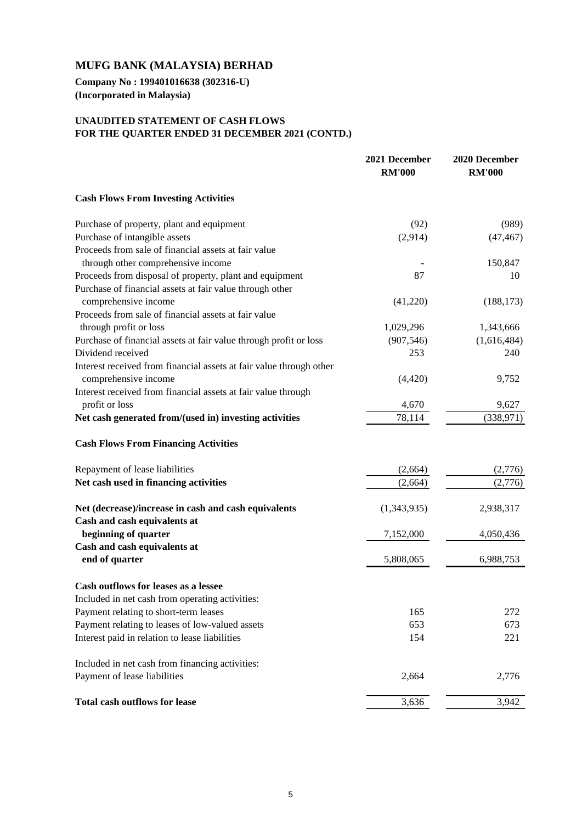**Company No : 199401016638 (302316-U) (Incorporated in Malaysia)**

## **UNAUDITED STATEMENT OF CASH FLOWS FOR THE QUARTER ENDED 31 DECEMBER 2021 (CONTD.)**

|                                                                     | 2021 December<br><b>RM'000</b> | 2020 December<br><b>RM'000</b> |
|---------------------------------------------------------------------|--------------------------------|--------------------------------|
| <b>Cash Flows From Investing Activities</b>                         |                                |                                |
| Purchase of property, plant and equipment                           | (92)                           | (989)                          |
| Purchase of intangible assets                                       | (2,914)                        | (47, 467)                      |
| Proceeds from sale of financial assets at fair value                |                                |                                |
| through other comprehensive income                                  |                                | 150,847                        |
| Proceeds from disposal of property, plant and equipment             | 87                             | 10                             |
| Purchase of financial assets at fair value through other            |                                |                                |
| comprehensive income                                                | (41,220)                       | (188, 173)                     |
| Proceeds from sale of financial assets at fair value                |                                |                                |
| through profit or loss                                              | 1,029,296                      | 1,343,666                      |
| Purchase of financial assets at fair value through profit or loss   | (907, 546)                     | (1,616,484)                    |
| Dividend received                                                   | 253                            | 240                            |
| Interest received from financial assets at fair value through other |                                |                                |
| comprehensive income                                                | (4,420)                        | 9,752                          |
| Interest received from financial assets at fair value through       |                                |                                |
| profit or loss                                                      | 4,670                          | 9,627                          |
| Net cash generated from/(used in) investing activities              | 78,114                         | (338, 971)                     |
| <b>Cash Flows From Financing Activities</b>                         |                                |                                |
| Repayment of lease liabilities                                      | (2,664)                        | (2,776)                        |
| Net cash used in financing activities                               | (2,664)                        | (2,776)                        |
| Net (decrease)/increase in cash and cash equivalents                | (1,343,935)                    | 2,938,317                      |
| Cash and cash equivalents at                                        |                                |                                |
| beginning of quarter                                                | 7,152,000                      | 4,050,436                      |
| Cash and cash equivalents at                                        |                                |                                |
| end of quarter                                                      | 5,808,065                      | 6,988,753                      |
| Cash outflows for leases as a lessee                                |                                |                                |
| Included in net cash from operating activities:                     |                                |                                |
| Payment relating to short-term leases                               | 165                            | 272                            |
| Payment relating to leases of low-valued assets                     | 653                            | 673                            |
| Interest paid in relation to lease liabilities                      | 154                            | 221                            |
| Included in net cash from financing activities:                     |                                |                                |
| Payment of lease liabilities                                        | 2,664                          | 2,776                          |
| <b>Total cash outflows for lease</b>                                | 3,636                          | 3,942                          |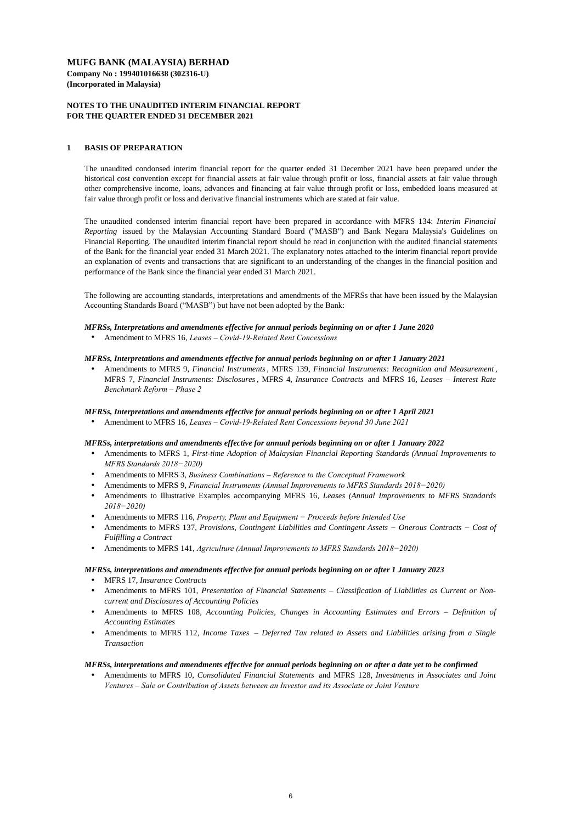### **NOTES TO THE UNAUDITED INTERIM FINANCIAL REPORT FOR THE QUARTER ENDED 31 DECEMBER 2021**

### **1 BASIS OF PREPARATION**

#### *MFRSs, Interpretations and amendments effective for annual periods beginning on or after 1 June 2020*

Amendment to MFRS 16, *Leases – Covid-19-Related Rent Concessions*

#### *MFRSs, Interpretations and amendments effective for annual periods beginning on or after 1 January 2021*

#### *MFRSs, Interpretations and amendments effective for annual periods beginning on or after 1 April 2021*

- $\bullet$ Amendments to MFRS 1, *First-time Adoption of Malaysian Financial Reporting Standards (Annual Improvements to MFRS Standards 2018−2020)*
- Amendments to MFRS 3, *Business Combinations Reference to the Conceptual Framework*
- Amendments to MFRS 9, *Financial Instruments (Annual Improvements to MFRS Standards 2018−2020)*
- Amendments to Illustrative Examples accompanying MFRS 16, *Leases (Annual Improvements to MFRS Standards 2018−2020)*
- Amendments to MFRS 116, *Property, Plant and Equipment − Proceeds before Intended Use*
- $\bullet$ Amendments to MFRS 137, *Provisions, Contingent Liabilities and Contingent Assets − Onerous Contracts − Cost of Fulfilling a Contract*
- Amendments to MFRS 141, *Agriculture (Annual Improvements to MFRS Standards 2018−2020)*

Amendment to MFRS 16, *Leases – Covid-19-Related Rent Concessions beyond 30 June 2021*

#### *MFRSs, interpretations and amendments effective for annual periods beginning on or after 1 January 2022*

#### *MFRSs, interpretations and amendments effective for annual periods beginning on or after 1 January 2023*

#### *MFRSs, interpretations and amendments effective for annual periods beginning on or after a date yet to be confirmed*

 $\bullet$ Amendments to MFRS 9, *Financial Instruments*, MFRS 139, *Financial Instruments: Recognition and Measurement* , MFRS 7, *Financial Instruments: Disclosures*, MFRS 4, *Insurance Contracts* and MFRS 16, *Leases – Interest Rate Benchmark Reform – Phase 2*

The unaudited condonsed interim financial report for the quarter ended 31 December 2021 have been prepared under the historical cost convention except for financial assets at fair value through profit or loss, financial assets at fair value through other comprehensive income, loans, advances and financing at fair value through profit or loss, embedded loans measured at fair value through profit or loss and derivative financial instruments which are stated at fair value.

 $\bullet$ Amendments to MFRS 10, *Consolidated Financial Statements* and MFRS 128, *Investments in Associates and Joint Ventures – Sale or Contribution of Assets between an Investor and its Associate or Joint Venture*

The unaudited condensed interim financial report have been prepared in accordance with MFRS 134: *Interim Financial Reporting* issued by the Malaysian Accounting Standard Board ("MASB") and Bank Negara Malaysia's Guidelines on Financial Reporting. The unaudited interim financial report should be read in conjunction with the audited financial statements of the Bank for the financial year ended 31 March 2021. The explanatory notes attached to the interim financial report provide an explanation of events and transactions that are significant to an understanding of the changes in the financial position and performance of the Bank since the financial year ended 31 March 2021.

- MFRS 17, *Insurance Contracts*
- $\bullet$ Amendments to MFRS 101, *Presentation of Financial Statements – Classification of Liabilities as Current or Noncurrent and Disclosures of Accounting Policies*
- $\bullet$ Amendments to MFRS 108, *Accounting Policies, Changes in Accounting Estimates and Errors – Definition of Accounting Estimates*
- $\bullet$ Amendments to MFRS 112, *Income Taxes* – *Deferred Tax related to Assets and Liabilities arising from a Single Transaction*

The following are accounting standards, interpretations and amendments of the MFRSs that have been issued by the Malaysian Accounting Standards Board ("MASB") but have not been adopted by the Bank: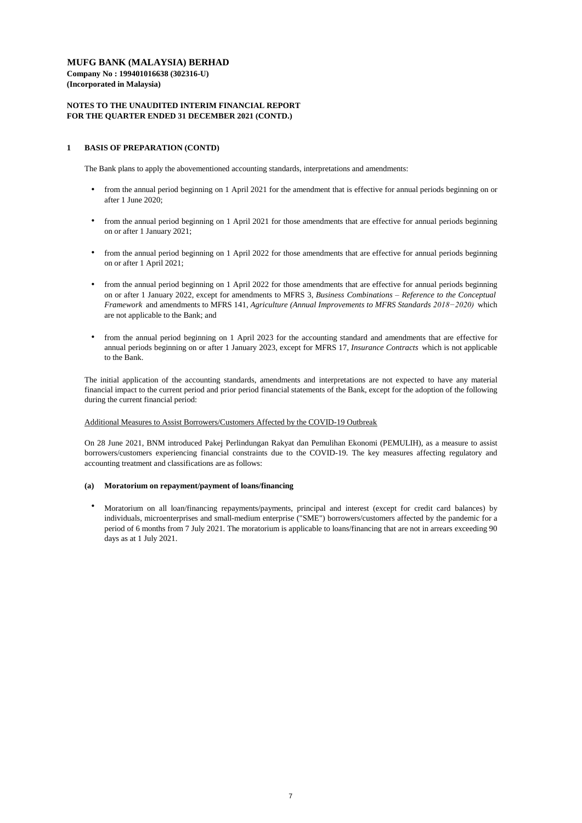**Company No : 199401016638 (302316-U) (Incorporated in Malaysia)**

### **NOTES TO THE UNAUDITED INTERIM FINANCIAL REPORT FOR THE QUARTER ENDED 31 DECEMBER 2021 (CONTD.)**

### **1 BASIS OF PREPARATION (CONTD)**

The Bank plans to apply the abovementioned accounting standards, interpretations and amendments:

#### Additional Measures to Assist Borrowers/Customers Affected by the COVID-19 Outbreak

### **(a) Moratorium on repayment/payment of loans/financing**

 $\bullet$ Moratorium on all loan/financing repayments/payments, principal and interest (except for credit card balances) by individuals, microenterprises and small-medium enterprise ("SME") borrowers/customers affected by the pandemic for a period of 6 months from 7 July 2021. The moratorium is applicable to loans/financing that are not in arrears exceeding 90 days as at 1 July 2021.

The initial application of the accounting standards, amendments and interpretations are not expected to have any material financial impact to the current period and prior period financial statements of the Bank, except for the adoption of the following during the current financial period:

On 28 June 2021, BNM introduced Pakej Perlindungan Rakyat dan Pemulihan Ekonomi (PEMULIH), as a measure to assist borrowers/customers experiencing financial constraints due to the COVID-19. The key measures affecting regulatory and accounting treatment and classifications are as follows:

- from the annual period beginning on 1 April 2021 for the amendment that is effective for annual periods beginning on or after 1 June 2020;
- from the annual period beginning on 1 April 2021 for those amendments that are effective for annual periods beginning on or after 1 January 2021;
- from the annual period beginning on 1 April 2022 for those amendments that are effective for annual periods beginning on or after 1 April 2021;
- from the annual period beginning on 1 April 2022 for those amendments that are effective for annual periods beginning on or after 1 January 2022, except for amendments to MFRS 3, *Business Combinations – Reference to the Conceptual Framework* and amendments to MFRS 141, *Agriculture (Annual Improvements to MFRS Standards 2018−2020)* which are not applicable to the Bank; and
- $\bullet$ from the annual period beginning on 1 April 2023 for the accounting standard and amendments that are effective for annual periods beginning on or after 1 January 2023, except for MFRS 17, *Insurance Contracts* which is not applicable to the Bank.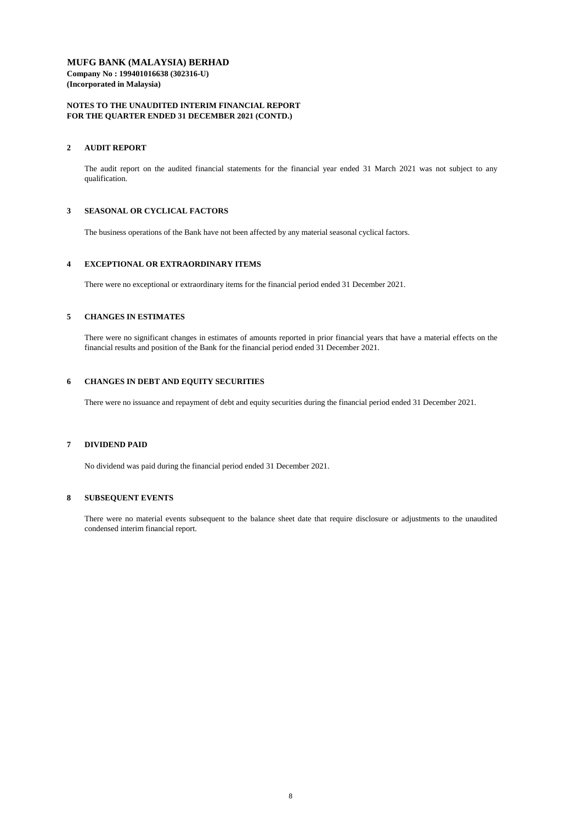### **MUFG BANK (MALAYSIA) BERHAD Company No : 199401016638 (302316-U)**

**(Incorporated in Malaysia)**

### **NOTES TO THE UNAUDITED INTERIM FINANCIAL REPORT FOR THE QUARTER ENDED 31 DECEMBER 2021 (CONTD.)**

### **2 AUDIT REPORT**

### **3 SEASONAL OR CYCLICAL FACTORS**

The business operations of the Bank have not been affected by any material seasonal cyclical factors.

### **4 EXCEPTIONAL OR EXTRAORDINARY ITEMS**

#### **5 CHANGES IN ESTIMATES**

#### **6 CHANGES IN DEBT AND EQUITY SECURITIES**

#### **7 DIVIDEND PAID**

No dividend was paid during the financial period ended 31 December 2021.

#### **8 SUBSEQUENT EVENTS**

There were no material events subsequent to the balance sheet date that require disclosure or adjustments to the unaudited condensed interim financial report.

There were no issuance and repayment of debt and equity securities during the financial period ended 31 December 2021.

There were no significant changes in estimates of amounts reported in prior financial years that have a material effects on the financial results and position of the Bank for the financial period ended 31 December 2021.

The audit report on the audited financial statements for the financial year ended 31 March 2021 was not subject to any qualification.

There were no exceptional or extraordinary items for the financial period ended 31 December 2021.

#### 8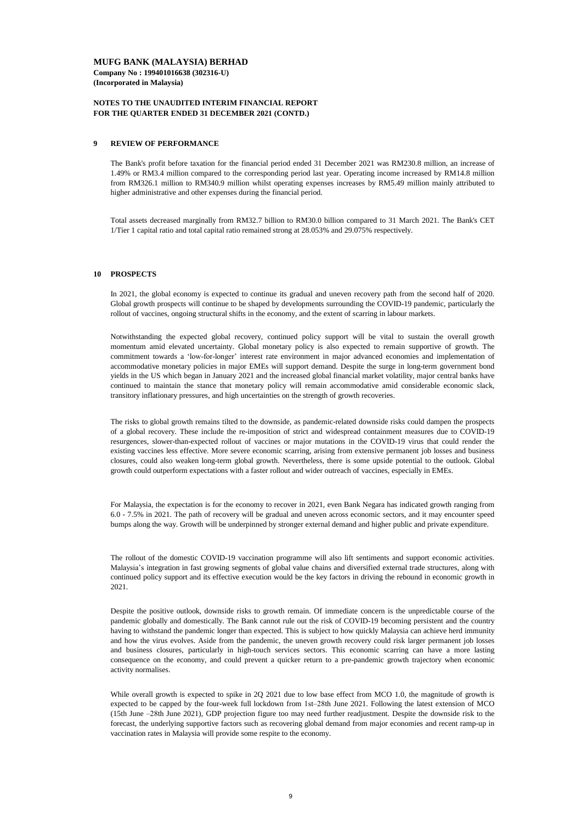**Company No : 199401016638 (302316-U) (Incorporated in Malaysia)**

#### **NOTES TO THE UNAUDITED INTERIM FINANCIAL REPORT FOR THE QUARTER ENDED 31 DECEMBER 2021 (CONTD.)**

#### **9 REVIEW OF PERFORMANCE**

#### **10 PROSPECTS**

Despite the positive outlook, downside risks to growth remain. Of immediate concern is the unpredictable course of the pandemic globally and domestically. The Bank cannot rule out the risk of COVID-19 becoming persistent and the country having to withstand the pandemic longer than expected. This is subject to how quickly Malaysia can achieve herd immunity and how the virus evolves. Aside from the pandemic, the uneven growth recovery could risk larger permanent job losses and business closures, particularly in high-touch services sectors. This economic scarring can have a more lasting consequence on the economy, and could prevent a quicker return to a pre-pandemic growth trajectory when economic activity normalises.

While overall growth is expected to spike in 2Q 2021 due to low base effect from MCO 1.0, the magnitude of growth is expected to be capped by the four-week full lockdown from 1st–28th June 2021. Following the latest extension of MCO (15th June –28th June 2021), GDP projection figure too may need further readjustment. Despite the downside risk to the forecast, the underlying supportive factors such as recovering global demand from major economies and recent ramp-up in vaccination rates in Malaysia will provide some respite to the economy.

Total assets decreased marginally from RM32.7 billion to RM30.0 billion compared to 31 March 2021. The Bank's CET 1/Tier 1 capital ratio and total capital ratio remained strong at 28.053% and 29.075% respectively.

For Malaysia, the expectation is for the economy to recover in 2021, even Bank Negara has indicated growth ranging from 6.0 - 7.5% in 2021. The path of recovery will be gradual and uneven across economic sectors, and it may encounter speed bumps along the way. Growth will be underpinned by stronger external demand and higher public and private expenditure.

The Bank's profit before taxation for the financial period ended 31 December 2021 was RM230.8 million, an increase of 1.49% or RM3.4 million compared to the corresponding period last year. Operating income increased by RM14.8 million from RM326.1 million to RM340.9 million whilst operating expenses increases by RM5.49 million mainly attributed to higher administrative and other expenses during the financial period.

Notwithstanding the expected global recovery, continued policy support will be vital to sustain the overall growth momentum amid elevated uncertainty. Global monetary policy is also expected to remain supportive of growth. The commitment towards a 'low-for-longer' interest rate environment in major advanced economies and implementation of accommodative monetary policies in major EMEs will support demand. Despite the surge in long-term government bond yields in the US which began in January 2021 and the increased global financial market volatility, major central banks have continued to maintain the stance that monetary policy will remain accommodative amid considerable economic slack, transitory inflationary pressures, and high uncertainties on the strength of growth recoveries.

The risks to global growth remains tilted to the downside, as pandemic-related downside risks could dampen the prospects of a global recovery. These include the re-imposition of strict and widespread containment measures due to COVID-19 resurgences, slower-than-expected rollout of vaccines or major mutations in the COVID-19 virus that could render the existing vaccines less effective. More severe economic scarring, arising from extensive permanent job losses and business closures, could also weaken long-term global growth. Nevertheless, there is some upside potential to the outlook. Global growth could outperform expectations with a faster rollout and wider outreach of vaccines, especially in EMEs.

In 2021, the global economy is expected to continue its gradual and uneven recovery path from the second half of 2020. Global growth prospects will continue to be shaped by developments surrounding the COVID-19 pandemic, particularly the rollout of vaccines, ongoing structural shifts in the economy, and the extent of scarring in labour markets.

The rollout of the domestic COVID-19 vaccination programme will also lift sentiments and support economic activities. Malaysia's integration in fast growing segments of global value chains and diversified external trade structures, along with continued policy support and its effective execution would be the key factors in driving the rebound in economic growth in 2021.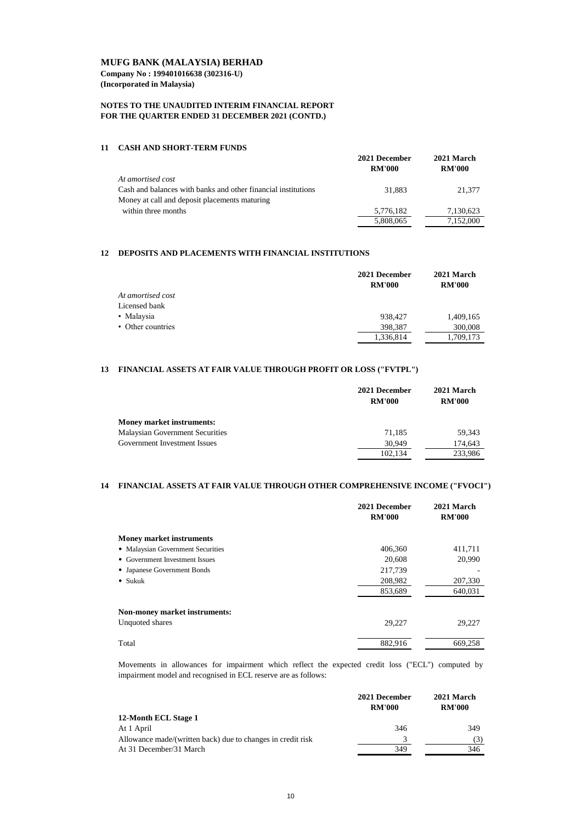**Company No : 199401016638 (302316-U) (Incorporated in Malaysia)**

### **NOTES TO THE UNAUDITED INTERIM FINANCIAL REPORT FOR THE QUARTER ENDED 31 DECEMBER 2021 (CONTD.)**

#### **11 CASH AND SHORT-TERM FUNDS**

|                                                               | 2021 December<br><b>RM'000</b> | 2021 March<br><b>RM'000</b> |
|---------------------------------------------------------------|--------------------------------|-----------------------------|
| At amortised cost                                             |                                |                             |
| Cash and balances with banks and other financial institutions | 31,883                         | 21,377                      |
| Money at call and deposit placements maturing                 |                                |                             |
| within three months                                           | 5,776,182                      | 7,130,623                   |
|                                                               | 5,808,065                      | 7,152,000                   |

#### **12 DEPOSITS AND PLACEMENTS WITH FINANCIAL INSTITUTIONS**

|                   | 2021 December | 2021 March    |  |
|-------------------|---------------|---------------|--|
|                   | <b>RM'000</b> | <b>RM'000</b> |  |
| At amortised cost |               |               |  |
| Licensed bank     |               |               |  |
| • Malaysia        | 938,427       | 1,409,165     |  |
| • Other countries | 398,387       | 300,008       |  |
|                   | 1,336,814     | 1,709,173     |  |

#### **13 FINANCIAL ASSETS AT FAIR VALUE THROUGH PROFIT OR LOSS ("FVTPL")**

|                                        | 2021 December | 2021 March    |  |
|----------------------------------------|---------------|---------------|--|
|                                        | <b>RM'000</b> | <b>RM'000</b> |  |
| <b>Money market instruments:</b>       |               |               |  |
| <b>Malaysian Government Securities</b> | 71,185        | 59,343        |  |
| Government Investment Issues           | 30,949        | 174,643       |  |
|                                        | 102,134       | 233,986       |  |

#### **14 FINANCIAL ASSETS AT FAIR VALUE THROUGH OTHER COMPREHENSIVE INCOME ("FVOCI")**

|                                   | 2021 December<br><b>RM'000</b> | 2021 March<br><b>RM'000</b> |
|-----------------------------------|--------------------------------|-----------------------------|
| <b>Money market instruments</b>   |                                |                             |
| • Malaysian Government Securities | 406,360                        | 411,711                     |
| • Government Investment Issues    | 20,608                         | 20,990                      |
| • Japanese Government Bonds       | 217,739                        |                             |
| $\bullet$ Sukuk                   | 208,982                        | 207,330                     |
|                                   | 853,689                        | 640,031                     |

| <b>Non-money market instruments:</b> |         |         |
|--------------------------------------|---------|---------|
| Unquoted shares                      | 29,227  | 29,227  |
| Total                                | 882,916 | 669,258 |

|                                                             | 2021 December | 2021 March    |  |
|-------------------------------------------------------------|---------------|---------------|--|
|                                                             | <b>RM'000</b> | <b>RM'000</b> |  |
| 12-Month ECL Stage 1                                        |               |               |  |
| At 1 April                                                  | 346           | 349           |  |
| Allowance made/(written back) due to changes in credit risk | $\mathbf{z}$  |               |  |
| At 31 December/31 March                                     | 349           | 346           |  |

Movements in allowances for impairment which reflect the expected credit loss ("ECL") computed by impairment model and recognised in ECL reserve are as follows: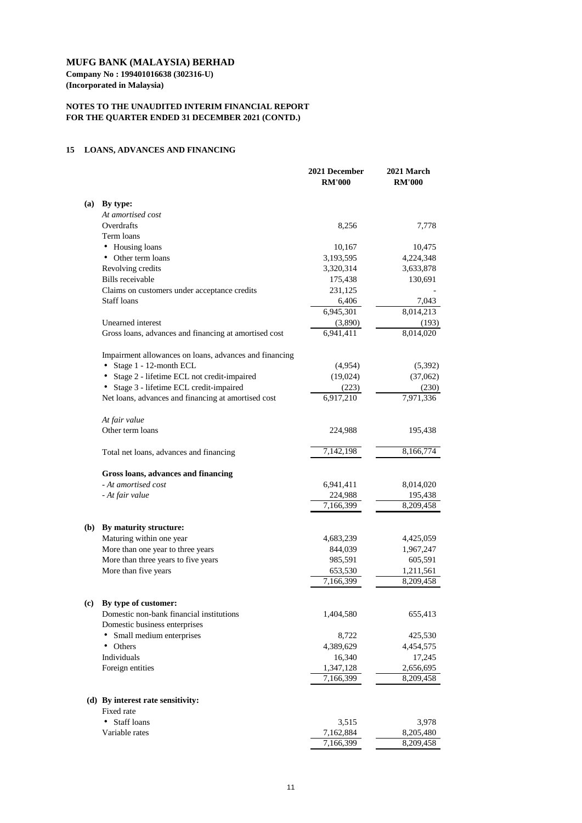**Company No : 199401016638 (302316-U) (Incorporated in Malaysia)**

### **NOTES TO THE UNAUDITED INTERIM FINANCIAL REPORT FOR THE QUARTER ENDED 31 DECEMBER 2021 (CONTD.)**

#### **15 LOANS, ADVANCES AND FINANCING**

|            |                                                        | 2021 December<br><b>RM'000</b> | 2021 March<br><b>RM'000</b> |
|------------|--------------------------------------------------------|--------------------------------|-----------------------------|
| (a)        | By type:                                               |                                |                             |
|            | At amortised cost                                      |                                |                             |
|            | Overdrafts                                             | 8,256                          | 7,778                       |
|            | Term loans                                             |                                |                             |
|            | Housing loans<br>$\bullet$                             | 10,167                         | 10,475                      |
|            | Other term loans                                       | 3,193,595                      | 4,224,348                   |
|            | Revolving credits                                      | 3,320,314                      | 3,633,878                   |
|            | <b>Bills</b> receivable                                | 175,438                        | 130,691                     |
|            | Claims on customers under acceptance credits           | 231,125                        |                             |
|            | <b>Staff loans</b>                                     | 6,406                          | 7,043                       |
|            |                                                        | 6,945,301                      | 8,014,213                   |
|            | Unearned interest                                      | (3,890)                        | (193)                       |
|            | Gross loans, advances and financing at amortised cost  | 6,941,411                      | 8,014,020                   |
|            | Impairment allowances on loans, advances and financing |                                |                             |
|            | Stage 1 - 12-month ECL<br>٠                            | (4,954)                        | (5,392)                     |
|            | Stage 2 - lifetime ECL not credit-impaired             | (19,024)                       | (37,062)                    |
|            | Stage 3 - lifetime ECL credit-impaired                 | (223)                          | (230)                       |
|            | Net loans, advances and financing at amortised cost    | 6,917,210                      | 7,971,336                   |
|            | At fair value                                          |                                |                             |
|            | Other term loans                                       | 224,988                        | 195,438                     |
|            | Total net loans, advances and financing                | 7,142,198                      | 8,166,774                   |
|            | Gross loans, advances and financing                    |                                |                             |
|            | - At amortised cost                                    | 6,941,411                      | 8,014,020                   |
|            | - At fair value                                        | 224,988                        | 195,438                     |
|            |                                                        | 7,166,399                      | 8,209,458                   |
| <b>(b)</b> | By maturity structure:                                 |                                |                             |
|            | Maturing within one year                               | 4,683,239                      | 4,425,059                   |
|            | More than one year to three years                      | 844,039                        | 1,967,247                   |
|            | More than three years to five years                    | 985,591                        | 605,591                     |
|            | More than five years                                   | 653,530                        | 1,211,561                   |
|            |                                                        | 7,166,399                      | 8,209,458                   |
| (c)        | By type of customer:                                   |                                |                             |
|            | Domestic non-bank financial institutions               | 1,404,580                      | 655,413                     |
|            | Domestic business enterprises                          |                                |                             |
|            | Small medium enterprises<br>٠                          | 8,722                          | 425,530                     |
|            | Others                                                 | 4,389,629                      | 4,454,575                   |
|            | Individuals                                            | 16,340                         | 17,245                      |
|            | Foreign entities                                       | 1,347,128                      | 2,656,695                   |
|            |                                                        | 7,166,399                      | 8,209,458                   |

## **(d) By interest rate sensitivity:**

Fixed rate

| • Staff loans  | 3,515     | 3,978     |
|----------------|-----------|-----------|
| Variable rates | 7,162,884 | 8,205,480 |
|                | 7,166,399 | 8,209,458 |

11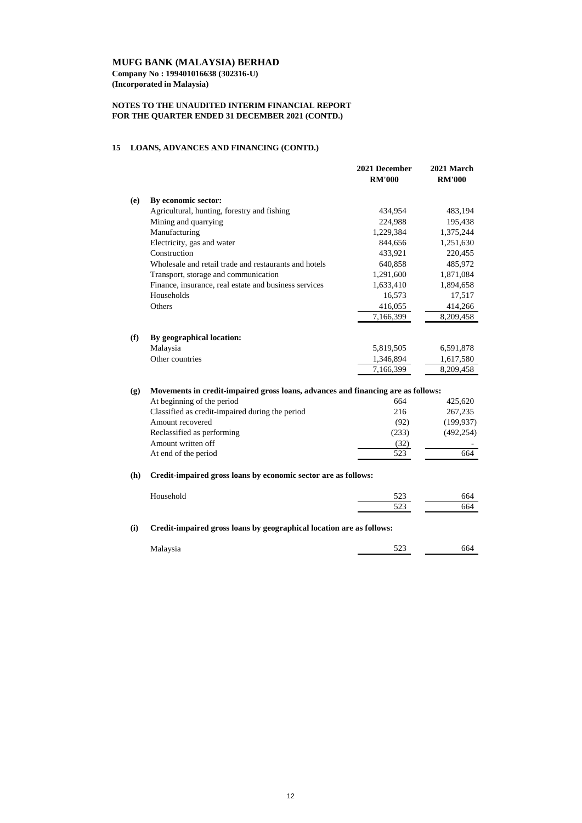**Company No : 199401016638 (302316-U) (Incorporated in Malaysia)**

## **NOTES TO THE UNAUDITED INTERIM FINANCIAL REPORT FOR THE QUARTER ENDED 31 DECEMBER 2021 (CONTD.)**

## **15 LOANS, ADVANCES AND FINANCING (CONTD.)**

|     |                                                                                  | 2021 December<br><b>RM'000</b> | 2021 March<br><b>RM'000</b> |
|-----|----------------------------------------------------------------------------------|--------------------------------|-----------------------------|
| (e) | By economic sector:                                                              |                                |                             |
|     | Agricultural, hunting, forestry and fishing                                      | 434,954                        | 483,194                     |
|     | Mining and quarrying                                                             | 224,988                        | 195,438                     |
|     | Manufacturing                                                                    | 1,229,384                      | 1,375,244                   |
|     | Electricity, gas and water                                                       | 844,656                        | 1,251,630                   |
|     | Construction                                                                     | 433,921                        | 220,455                     |
|     | Wholesale and retail trade and restaurants and hotels                            | 640,858                        | 485,972                     |
|     | Transport, storage and communication                                             | 1,291,600                      | 1,871,084                   |
|     | Finance, insurance, real estate and business services                            | 1,633,410                      | 1,894,658                   |
|     | Households                                                                       | 16,573                         | 17,517                      |
|     | Others                                                                           | 416,055                        | 414,266                     |
|     |                                                                                  | 7,166,399                      | 8,209,458                   |
| (f) | By geographical location:                                                        |                                |                             |
|     | Malaysia                                                                         | 5,819,505                      | 6,591,878                   |
|     | Other countries                                                                  | 1,346,894                      | 1,617,580                   |
|     |                                                                                  | 7,166,399                      | 8,209,458                   |
| (g) | Movements in credit-impaired gross loans, advances and financing are as follows: |                                |                             |
|     | At beginning of the period                                                       | 664                            | 425,620                     |
|     | Classified as credit-impaired during the period                                  | 216                            | 267,235                     |
|     | Amount recovered                                                                 | (92)                           | (199, 937)                  |
|     | Reclassified as performing                                                       | (233)                          | (492, 254)                  |
|     | Amount written off                                                               | (32)                           |                             |
|     | At end of the period                                                             | 523                            | 664                         |
| (h) | Credit-impaired gross loans by economic sector are as follows:                   |                                |                             |
|     | Household                                                                        | 523                            | 664                         |
|     |                                                                                  | 523                            | 664                         |
| (i) | Credit-impaired gross loans by geographical location are as follows:             |                                |                             |
|     |                                                                                  |                                |                             |
|     | Malaysia                                                                         | 523                            | 664                         |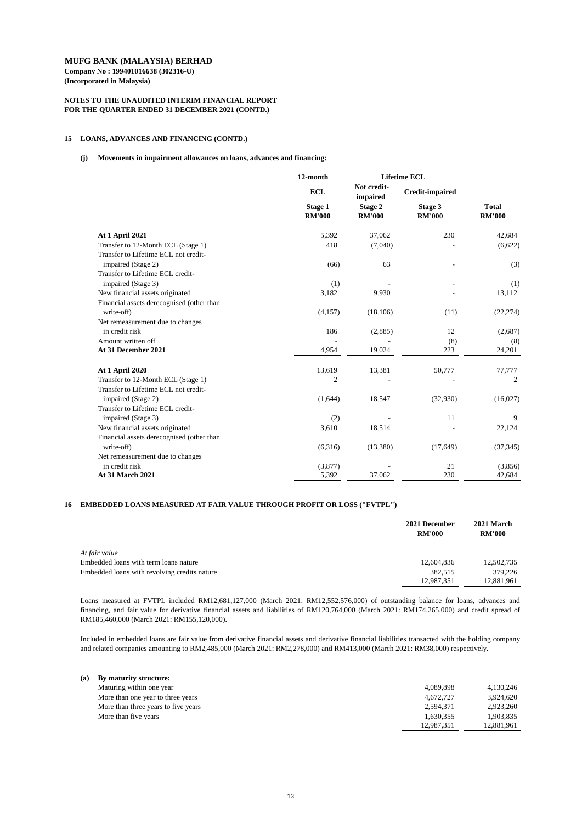**Company No : 199401016638 (302316-U) (Incorporated in Malaysia)**

### **NOTES TO THE UNAUDITED INTERIM FINANCIAL REPORT FOR THE QUARTER ENDED 31 DECEMBER 2021 (CONTD.)**

#### **15 LOANS, ADVANCES AND FINANCING (CONTD.)**

#### **(j) Movements in impairment allowances on loans, advances and financing:**

|                                           | 12-month                        |                                 | <b>Lifetime ECL</b>             |                               |
|-------------------------------------------|---------------------------------|---------------------------------|---------------------------------|-------------------------------|
|                                           | <b>ECL</b>                      | Not credit-<br>impaired         | <b>Credit-impaired</b>          |                               |
|                                           | <b>Stage 1</b><br><b>RM'000</b> | <b>Stage 2</b><br><b>RM'000</b> | <b>Stage 3</b><br><b>RM'000</b> | <b>Total</b><br><b>RM'000</b> |
| <b>At 1 April 2021</b>                    | 5,392                           | 37,062                          | 230                             | 42,684                        |
| Transfer to 12-Month ECL (Stage 1)        | 418                             | (7,040)                         |                                 | (6,622)                       |
| Transfer to Lifetime ECL not credit-      |                                 |                                 |                                 |                               |
| impaired (Stage 2)                        | (66)                            | 63                              |                                 | (3)                           |
| Transfer to Lifetime ECL credit-          |                                 |                                 |                                 |                               |
| impaired (Stage 3)                        | (1)                             |                                 |                                 | (1)                           |
| New financial assets originated           | 3,182                           | 9,930                           |                                 | 13,112                        |
| Financial assets derecognised (other than |                                 |                                 |                                 |                               |
| write-off)                                | (4,157)                         | (18, 106)                       | (11)                            | (22, 274)                     |
| Net remeasurement due to changes          |                                 |                                 |                                 |                               |
| in credit risk                            | 186                             | (2,885)                         | 12                              | (2,687)                       |
| Amount written off                        |                                 |                                 | (8)                             | (8)                           |
| At 31 December 2021                       | 4,954                           | 19,024                          | 223                             | 24,201                        |
| <b>At 1 April 2020</b>                    | 13,619                          | 13,381                          | 50,777                          | 77,777                        |
| Transfer to 12-Month ECL (Stage 1)        | $\overline{2}$                  |                                 |                                 | $\overline{2}$                |
| Transfer to Lifetime ECL not credit-      |                                 |                                 |                                 |                               |
| impaired (Stage 2)                        | (1,644)                         | 18,547                          | (32,930)                        | (16,027)                      |
| Transfer to Lifetime ECL credit-          |                                 |                                 |                                 |                               |
| impaired (Stage 3)                        | (2)                             |                                 | 11                              | 9                             |
| New financial assets originated           | 3,610                           | 18,514                          |                                 | 22,124                        |
| Financial assets derecognised (other than |                                 |                                 |                                 |                               |
| write-off)                                | (6,316)                         | (13,380)                        | (17, 649)                       | (37, 345)                     |
| Net remeasurement due to changes          |                                 |                                 |                                 |                               |
| in credit risk                            | (3,877)                         |                                 | 21                              | (3,856)                       |
| At 31 March 2021                          | 5,392                           | 37,062                          | 230                             | 42,684                        |

#### **16 EMBEDDED LOANS MEASURED AT FAIR VALUE THROUGH PROFIT OR LOSS ("FVTPL")**

| 2021 December | 2021 March    |
|---------------|---------------|
| <b>RM'000</b> | <b>RM'000</b> |

| --- ,                                        |            |            |
|----------------------------------------------|------------|------------|
| Embedded loans with term loans nature        | 12.604.836 | 12,502,735 |
| Embedded loans with revolving credits nature | 382,515    | 379,226    |
|                                              | 12,987,351 | 12,881,961 |

#### **(a) By maturity structure:**

| Maturing within one year            | 4,089,898  | 4,130,246  |
|-------------------------------------|------------|------------|
| More than one year to three years   | 4,672,727  | 3,924,620  |
| More than three years to five years | 2,594,371  | 2,923,260  |
| More than five years                | 1,630,355  | 1,903,835  |
|                                     | 12,987,351 | 12,881,961 |

Loans measured at FVTPL included RM12,681,127,000 (March 2021: RM12,552,576,000) of outstanding balance for loans, advances and financing, and fair value for derivative financial assets and liabilities of RM120,764,000 (March 2021: RM174,265,000) and credit spread of RM185,460,000 (March 2021: RM155,120,000).

Included in embedded loans are fair value from derivative financial assets and derivative financial liabilities transacted with the holding company and related companies amounting to RM2,485,000 (March 2021: RM2,278,000) and RM413,000 (March 2021: RM38,000) respectively.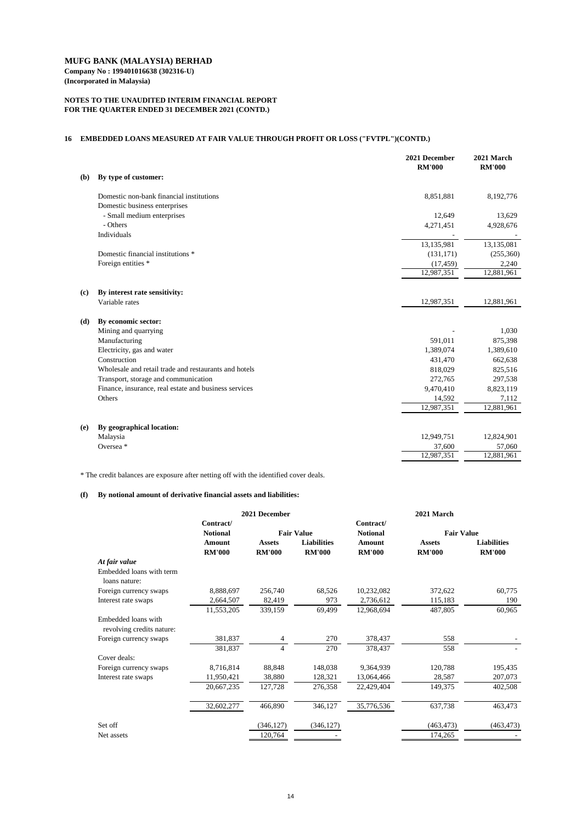## **MUFG BANK (MALAYSIA) BERHAD Company No : 199401016638 (302316-U)**

**(Incorporated in Malaysia)**

## **NOTES TO THE UNAUDITED INTERIM FINANCIAL REPORT FOR THE QUARTER ENDED 31 DECEMBER 2021 (CONTD.)**

## **16 EMBEDDED LOANS MEASURED AT FAIR VALUE THROUGH PROFIT OR LOSS ("FVTPL")(CONTD.)**

|            |                                                       | 2021 December<br><b>RM'000</b> | 2021 March<br><b>RM'000</b> |
|------------|-------------------------------------------------------|--------------------------------|-----------------------------|
| <b>(b)</b> | By type of customer:                                  |                                |                             |
|            | Domestic non-bank financial institutions              | 8,851,881                      | 8,192,776                   |
|            | Domestic business enterprises                         |                                |                             |
|            | - Small medium enterprises                            | 12,649                         | 13,629                      |
|            | - Others                                              | 4,271,451                      | 4,928,676                   |
|            | Individuals                                           |                                |                             |
|            |                                                       | 13,135,981                     | 13,135,081                  |
|            | Domestic financial institutions *                     | (131, 171)                     | (255,360)                   |
|            | Foreign entities *                                    | (17, 459)                      | 2,240                       |
|            |                                                       | 12,987,351                     | 12,881,961                  |
| (c)        | By interest rate sensitivity:                         |                                |                             |
|            | Variable rates                                        | 12,987,351                     | 12,881,961                  |
| (d)        | By economic sector:                                   |                                |                             |
|            | Mining and quarrying                                  |                                | 1,030                       |
|            | Manufacturing                                         | 591,011                        | 875,398                     |
|            | Electricity, gas and water                            | 1,389,074                      | 1,389,610                   |
|            | Construction                                          | 431,470                        | 662,638                     |
|            | Wholesale and retail trade and restaurants and hotels | 818,029                        | 825,516                     |
|            | Transport, storage and communication                  | 272,765                        | 297,538                     |
|            | Finance, insurance, real estate and business services | 9,470,410                      | 8,823,119                   |
|            | Others                                                | 14,592                         | 7,112                       |
|            |                                                       | 12,987,351                     | 12,881,961                  |
| (e)        | By geographical location:                             |                                |                             |
|            | Malaysia                                              | 12,949,751                     | 12,824,901                  |
|            | Oversea <sup>*</sup>                                  | 37,600                         | 57,060                      |
|            |                                                       | 12,987,351                     | 12,881,961                  |
|            |                                                       |                                |                             |

\* The credit balances are exposure after netting off with the identified cover deals.

## **(f) By notional amount of derivative financial assets and liabilities:**

|                                                  | 2021 December                |                | 2021 March         |                              |                   |                    |
|--------------------------------------------------|------------------------------|----------------|--------------------|------------------------------|-------------------|--------------------|
|                                                  | Contract/<br><b>Notional</b> |                | <b>Fair Value</b>  | Contract/<br><b>Notional</b> | <b>Fair Value</b> |                    |
|                                                  | <b>Amount</b>                | <b>Assets</b>  | <b>Liabilities</b> | <b>Amount</b>                | <b>Assets</b>     | <b>Liabilities</b> |
|                                                  | <b>RM'000</b>                | <b>RM'000</b>  | <b>RM'000</b>      | <b>RM'000</b>                | <b>RM'000</b>     | <b>RM'000</b>      |
| At fair value                                    |                              |                |                    |                              |                   |                    |
| Embedded loans with term<br>loans nature:        |                              |                |                    |                              |                   |                    |
| Foreign currency swaps                           | 8,888,697                    | 256,740        | 68,526             | 10,232,082                   | 372,622           | 60,775             |
| Interest rate swaps                              | 2,664,507                    | 82,419         | 973                | 2,736,612                    | 115,183           | 190                |
|                                                  | 11,553,205                   | 339,159        | 69,499             | 12,968,694                   | 487,805           | 60,965             |
| Embedded loans with<br>revolving credits nature: |                              |                |                    |                              |                   |                    |
| Foreign currency swaps                           | 381,837                      | 4              | 270                | 378,437                      | 558               |                    |
|                                                  | 381,837                      | $\overline{4}$ | 270                | 378,437                      | 558               |                    |
| Cover deals:                                     |                              |                |                    |                              |                   |                    |
| Foreign currency swaps                           | 8,716,814                    | 88,848         | 148,038            | 9,364,939                    | 120,788           | 195,435            |
| Interest rate swaps                              | 11,950,421                   | 38,880         | 128,321            | 13,064,466                   | 28,587            | 207,073            |
|                                                  | 20,667,235                   | 127,728        | 276,358            | 22,429,404                   | 149,375           | 402,508            |
|                                                  | 32,602,277                   | 466,890        | 346,127            | 35,776,536                   | 637,738           | 463,473            |
| Set off                                          |                              | (346, 127)     | (346, 127)         |                              | (463, 473)        | (463, 473)         |
| Net assets                                       |                              | 120,764        |                    |                              | 174,265           |                    |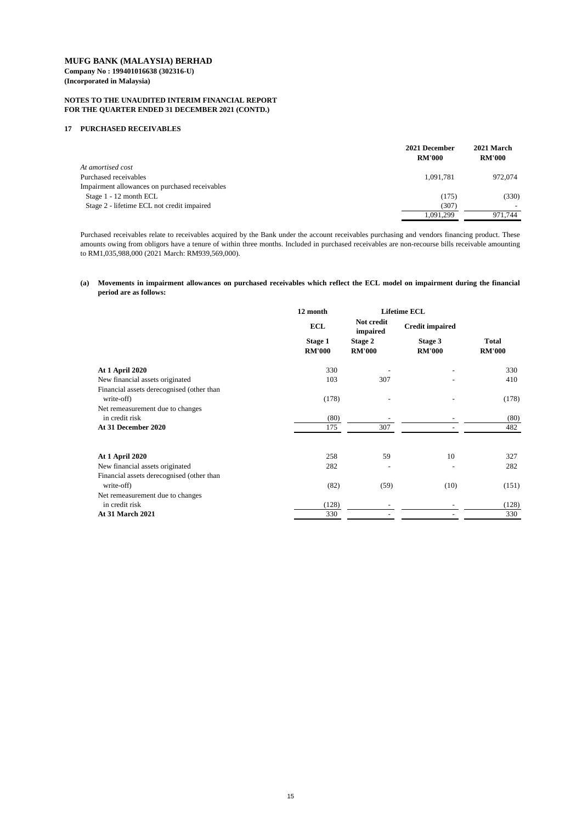### **NOTES TO THE UNAUDITED INTERIM FINANCIAL REPORT FOR THE QUARTER ENDED 31 DECEMBER 2021 (CONTD.)**

#### **17 PURCHASED RECEIVABLES**

|                                                | 2021 December<br><b>RM'000</b> | 2021 March<br><b>RM'000</b> |
|------------------------------------------------|--------------------------------|-----------------------------|
| At amortised cost                              |                                |                             |
| Purchased receivables                          | 1,091,781                      | 972,074                     |
| Impairment allowances on purchased receivables |                                |                             |
| Stage 1 - 12 month ECL                         | (175)                          | (330)                       |
| Stage 2 - lifetime ECL not credit impaired     | (307)                          |                             |
|                                                | 1,091,299                      | 971,744                     |

### (a) Movements in impairment allowances on purchased receivables which reflect the ECL model on impairment during the financial **period are as follows:**

|                                           | 12 month                        |                                 | <b>Lifetime ECL</b>             |                               |  |
|-------------------------------------------|---------------------------------|---------------------------------|---------------------------------|-------------------------------|--|
|                                           | <b>ECL</b>                      | Not credit<br>impaired          | <b>Credit impaired</b>          |                               |  |
|                                           | <b>Stage 1</b><br><b>RM'000</b> | <b>Stage 2</b><br><b>RM'000</b> | <b>Stage 3</b><br><b>RM'000</b> | <b>Total</b><br><b>RM'000</b> |  |
| <b>At 1 April 2020</b>                    | 330                             |                                 |                                 | 330                           |  |
| New financial assets originated           | 103                             | 307                             |                                 | 410                           |  |
| Financial assets derecognised (other than |                                 |                                 |                                 |                               |  |
| write-off)                                | (178)                           |                                 |                                 | (178)                         |  |
| Net remeasurement due to changes          |                                 |                                 |                                 |                               |  |
| in credit risk                            | (80)                            |                                 |                                 | (80)                          |  |
| At 31 December 2020                       | 175                             | 307                             |                                 | 482                           |  |
| <b>At 1 April 2020</b>                    | 258                             | 59                              | 10                              | 327                           |  |
| New financial assets originated           | 282                             |                                 |                                 | 282                           |  |
| Financial assets derecognised (other than |                                 |                                 |                                 |                               |  |
| write-off)                                | (82)                            | (59)                            | (10)                            | (151)                         |  |
| Net remeasurement due to changes          |                                 |                                 |                                 |                               |  |
| in credit risk                            | (128)                           |                                 |                                 | (128)                         |  |
| <b>At 31 March 2021</b>                   | 330                             |                                 |                                 | 330                           |  |

Purchased receivables relate to receivables acquired by the Bank under the account receivables purchasing and vendors financing product. These amounts owing from obligors have a tenure of within three months. Included in purchased receivables are non-recourse bills receivable amounting to RM1,035,988,000 (2021 March: RM939,569,000).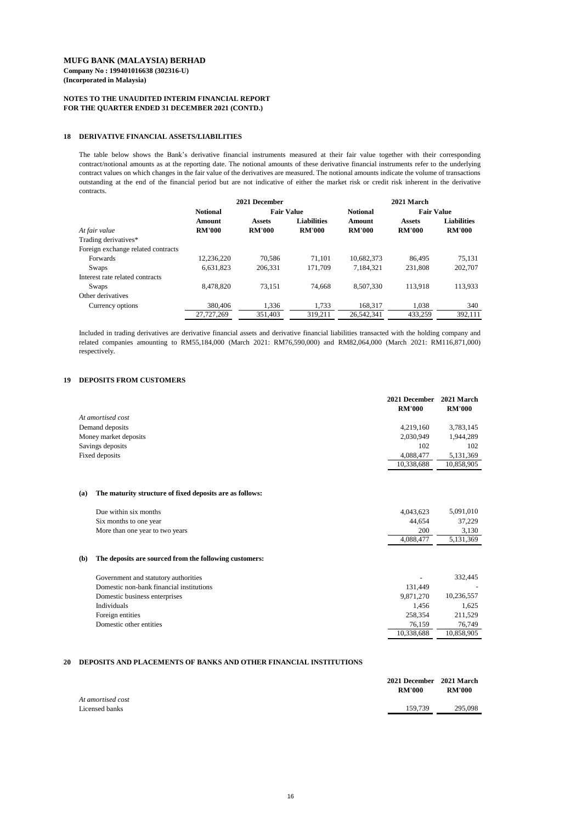### **NOTES TO THE UNAUDITED INTERIM FINANCIAL REPORT FOR THE QUARTER ENDED 31 DECEMBER 2021 (CONTD.)**

#### **18 DERIVATIVE FINANCIAL ASSETS/LIABILITIES**

#### **19 DEPOSITS FROM CUSTOMERS**

|                       | 2021 December | 2021 March    |
|-----------------------|---------------|---------------|
|                       | <b>RM'000</b> | <b>RM'000</b> |
| At amortised cost     |               |               |
| Demand deposits       | 4,219,160     | 3,783,145     |
| Money market deposits | 2,030,949     | 1,944,289     |
| Savings deposits      | 102           | 102           |
| Fixed deposits        | 4,088,477     | 5,131,369     |
|                       | 10,338,688    | 10,858,905    |

#### **(a) The maturity structure of fixed deposits are as follows:**

|     | Due within six months                                  | 4,043,623  | 5,091,010  |
|-----|--------------------------------------------------------|------------|------------|
|     | Six months to one year                                 | 44,654     | 37,229     |
|     | More than one year to two years                        | <b>200</b> | 3,130      |
|     |                                                        | 4,088,477  | 5,131,369  |
| (b) | The deposits are sourced from the following customers: |            |            |
|     | Government and statutory authorities                   |            | 332,445    |
|     | Domestic non-bank financial institutions               | 131,449    |            |
|     | Domestic business enterprises                          | 9,871,270  | 10,236,557 |
|     | Individuals                                            | 1,456      | 1,625      |
|     | Foreign entities                                       | 258,354    | 211,529    |
|     | Domestic other entities                                | 76,159     | 76,749     |
|     |                                                        | 10,338,688 | 10,858,905 |

|                                    | 2021 December   |                   |                    | 2021 March      |                   |                    |  |
|------------------------------------|-----------------|-------------------|--------------------|-----------------|-------------------|--------------------|--|
|                                    | <b>Notional</b> | <b>Fair Value</b> |                    | <b>Notional</b> | <b>Fair Value</b> |                    |  |
|                                    | <b>Amount</b>   | <b>Assets</b>     | <b>Liabilities</b> | <b>Amount</b>   | <b>Assets</b>     | <b>Liabilities</b> |  |
| At fair value                      | <b>RM'000</b>   | <b>RM'000</b>     | <b>RM'000</b>      | <b>RM'000</b>   | <b>RM'000</b>     | <b>RM'000</b>      |  |
| Trading derivatives*               |                 |                   |                    |                 |                   |                    |  |
| Foreign exchange related contracts |                 |                   |                    |                 |                   |                    |  |
| Forwards                           | 12,236,220      | 70,586            | 71,101             | 10,682,373      | 86,495            | 75,131             |  |
| Swaps                              | 6,631,823       | 206,331           | 171,709            | 7,184,321       | 231,808           | 202,707            |  |
| Interest rate related contracts    |                 |                   |                    |                 |                   |                    |  |
| Swaps                              | 8,478,820       | 73,151            | 74,668             | 8,507,330       | 113,918           | 113,933            |  |
| Other derivatives                  |                 |                   |                    |                 |                   |                    |  |
| Currency options                   | 380,406         | 1,336             | 1,733              | 168,317         | 1,038             | 340                |  |
|                                    | 27,727,269      | 351,403           | 319,211            | 26,542,341      | 433,259           | 392,111            |  |

#### **20 DEPOSITS AND PLACEMENTS OF BANKS AND OTHER FINANCIAL INSTITUTIONS**

|                                     | 2021 December 2021 March<br><b>RM'000</b> | <b>RM'000</b> |
|-------------------------------------|-------------------------------------------|---------------|
| At amortised cost<br>Licensed banks | 159,739                                   | 295,098       |

Included in trading derivatives are derivative financial assets and derivative financial liabilities transacted with the holding company and related companies amounting to RM55,184,000 (March 2021: RM76,590,000) and RM82,064,000 (March 2021: RM116,871,000) respectively.

The table below shows the Bank's derivative financial instruments measured at their fair value together with their corresponding contract/notional amounts as at the reporting date. The notional amounts of these derivative financial instruments refer to the underlying contract values on which changes in the fair value of the derivatives are measured. The notional amounts indicate the volume of transactions outstanding at the end of the financial period but are not indicative of either the market risk or credit risk inherent in the derivative contracts.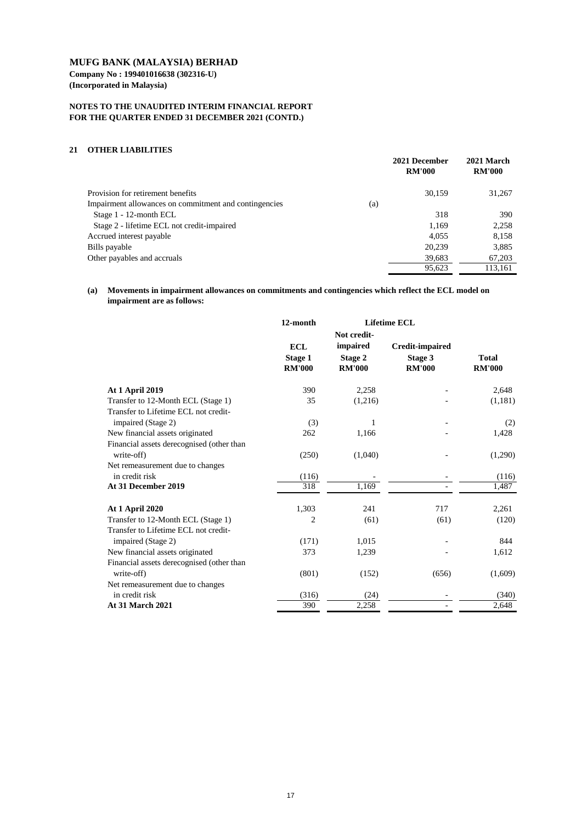**Company No : 199401016638 (302316-U) (Incorporated in Malaysia)**

### **NOTES TO THE UNAUDITED INTERIM FINANCIAL REPORT FOR THE QUARTER ENDED 31 DECEMBER 2021 (CONTD.)**

#### **21 OTHER LIABILITIES**

|                                                              | 2021 December<br><b>RM'000</b> | 2021 March<br><b>RM'000</b> |
|--------------------------------------------------------------|--------------------------------|-----------------------------|
| Provision for retirement benefits                            | 30,159                         | 31,267                      |
| Impairment allowances on commitment and contingencies<br>(a) |                                |                             |
| Stage 1 - 12-month ECL                                       | 318                            | 390                         |
| Stage 2 - lifetime ECL not credit-impaired                   | 1,169                          | 2,258                       |
| Accrued interest payable                                     | 4,055                          | 8,158                       |
| Bills payable                                                | 20,239                         | 3,885                       |
| Other payables and accruals                                  | 39,683                         | 67,203                      |
|                                                              | 95,623                         | 113,161                     |

|                                                                            | 12-month                                      | <b>Lifetime ECL</b>                                        |                                                           |                               |
|----------------------------------------------------------------------------|-----------------------------------------------|------------------------------------------------------------|-----------------------------------------------------------|-------------------------------|
|                                                                            | <b>ECL</b><br><b>Stage 1</b><br><b>RM'000</b> | Not credit-<br>impaired<br><b>Stage 2</b><br><b>RM'000</b> | <b>Credit-impaired</b><br><b>Stage 3</b><br><b>RM'000</b> | <b>Total</b><br><b>RM'000</b> |
| <b>At 1 April 2019</b>                                                     | 390                                           | 2,258                                                      |                                                           | 2,648                         |
| Transfer to 12-Month ECL (Stage 1)<br>Transfer to Lifetime ECL not credit- | 35                                            | (1,216)                                                    |                                                           | (1,181)                       |
| impaired (Stage 2)                                                         | (3)                                           | $\mathbf{1}$                                               |                                                           | (2)                           |
| New financial assets originated                                            | 262                                           | 1,166                                                      |                                                           | 1,428                         |
| Financial assets derecognised (other than<br>write-off)                    | (250)                                         | (1,040)                                                    |                                                           | (1,290)                       |
| Net remeasurement due to changes                                           |                                               |                                                            |                                                           |                               |
| in credit risk                                                             | (116)                                         |                                                            |                                                           | (116)                         |
| At 31 December 2019                                                        | 318                                           | 1,169                                                      |                                                           | 1,487                         |
| <b>At 1 April 2020</b>                                                     | 1,303                                         | 241                                                        | 717                                                       | 2,261                         |
| Transfer to 12-Month ECL (Stage 1)                                         | 2                                             | (61)                                                       | (61)                                                      | (120)                         |
| Transfer to Lifetime ECL not credit-                                       |                                               |                                                            |                                                           |                               |
| impaired (Stage 2)                                                         | (171)                                         | 1,015                                                      |                                                           | 844                           |
| New financial assets originated                                            | 373                                           | 1,239                                                      |                                                           | 1,612                         |
| Financial assets derecognised (other than                                  |                                               |                                                            |                                                           |                               |
| write-off)                                                                 | (801)                                         | (152)                                                      | (656)                                                     | (1,609)                       |
| Net remeasurement due to changes                                           |                                               |                                                            |                                                           |                               |
| in credit risk                                                             | (316)                                         | (24)                                                       |                                                           | (340)                         |
| <b>At 31 March 2021</b>                                                    | 390                                           | 2,258                                                      |                                                           | 2,648                         |

**(a) Movements in impairment allowances on commitments and contingencies which reflect the ECL model on impairment are as follows:**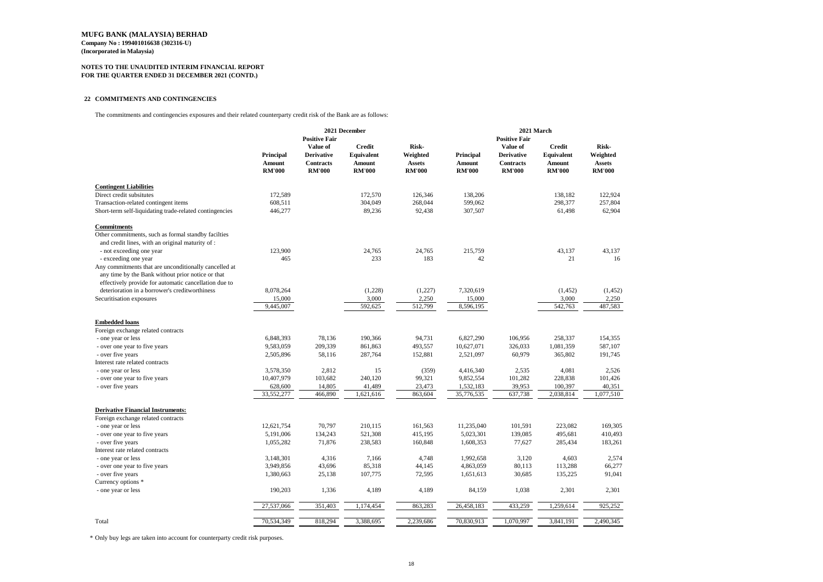**Company No : 199401016638 (302316-U) (Incorporated in Malaysia)**

## **NOTES TO THE UNAUDITED INTERIM FINANCIAL REPORT FOR THE QUARTER ENDED 31 DECEMBER 2021 (CONTD.)**

### **22 COMMITMENTS AND CONTINGENCIES**

The commitments and contingencies exposures and their related counterparty credit risk of the Bank are as follows:

|                                                         | 2021 December |                      |                   | 2021 March<br><b>Positive Fair</b> |               |                   |                   |               |
|---------------------------------------------------------|---------------|----------------------|-------------------|------------------------------------|---------------|-------------------|-------------------|---------------|
|                                                         |               | <b>Positive Fair</b> |                   |                                    |               |                   |                   |               |
|                                                         |               | Value of             | <b>Credit</b>     | <b>Risk-</b>                       |               | Value of          | <b>Credit</b>     | <b>Risk-</b>  |
|                                                         | Principal     | <b>Derivative</b>    | <b>Equivalent</b> | Weighted                           | Principal     | <b>Derivative</b> | <b>Equivalent</b> | Weighted      |
|                                                         | <b>Amount</b> | <b>Contracts</b>     | <b>Amount</b>     | <b>Assets</b>                      | <b>Amount</b> | <b>Contracts</b>  | <b>Amount</b>     | <b>Assets</b> |
|                                                         | <b>RM'000</b> | <b>RM'000</b>        | <b>RM'000</b>     | <b>RM'000</b>                      | <b>RM'000</b> | <b>RM'000</b>     | <b>RM'000</b>     | <b>RM'000</b> |
| <b>Contingent Liabilities</b>                           |               |                      |                   |                                    |               |                   |                   |               |
| Direct credit subsitutes                                | 172,589       |                      | 172,570           | 126,346                            | 138,206       |                   | 138,182           | 122,924       |
| Transaction-related contingent items                    | 608,511       |                      | 304,049           | 268,044                            | 599,062       |                   | 298,377           | 257,804       |
| Short-term self-liquidating trade-related contingencies | 446,277       |                      | 89,236            | 92,438                             | 307,507       |                   | 61,498            | 62,904        |
| <b>Commitments</b>                                      |               |                      |                   |                                    |               |                   |                   |               |
| Other commitments, such as formal standby facilties     |               |                      |                   |                                    |               |                   |                   |               |
| and credit lines, with an original maturity of :        |               |                      |                   |                                    |               |                   |                   |               |
| - not exceeding one year                                | 123,900       |                      | 24,765            | 24,765                             | 215,759       |                   | 43,137            | 43,137        |
| - exceeding one year                                    | 465           |                      | 233               | 183                                | 42            |                   | 21                | 16            |
| Any commitments that are unconditionally cancelled at   |               |                      |                   |                                    |               |                   |                   |               |
| any time by the Bank without prior notice or that       |               |                      |                   |                                    |               |                   |                   |               |
| effectively provide for automatic cancellation due to   |               |                      |                   |                                    |               |                   |                   |               |
| deterioration in a borrower's creditworthiness          | 8,078,264     |                      | (1,228)           | (1,227)                            | 7,320,619     |                   | (1,452)           | (1,452)       |
| Securitisation exposures                                | 15,000        |                      | 3,000             | 2,250                              | 15,000        |                   | 3,000             | 2,250         |
|                                                         | 9,445,007     |                      | 592,625           | 512,799                            | 8,596,195     |                   | 542,763           | 487,583       |
|                                                         |               |                      |                   |                                    |               |                   |                   |               |
| <b>Embedded loans</b>                                   |               |                      |                   |                                    |               |                   |                   |               |
| Foreign exchange related contracts                      |               |                      |                   |                                    |               |                   |                   |               |
| - one year or less                                      | 6,848,393     | 78,136               | 190,366           | 94,731                             | 6,827,290     | 106,956           | 258,337           | 154,355       |
| - over one year to five years                           | 9,583,059     | 209,339              | 861,863           | 493,557                            | 10,627,071    | 326,033           | 1,081,359         | 587,107       |
| - over five years                                       | 2,505,896     | 58,116               | 287,764           | 152,881                            | 2,521,097     | 60,979            | 365,802           | 191,745       |
| Interest rate related contracts                         |               |                      |                   |                                    |               |                   |                   |               |
| - one year or less                                      | 3,578,350     | 2,812                | 15                | (359)                              | 4,416,340     | 2,535             | 4,081             | 2,526         |
| - over one year to five years                           | 10,407,979    | 103,682              | 240,120           | 99,321                             | 9,852,554     | 101,282           | 228,838           | 101,426       |
| - over five years                                       | 628,600       | 14,805               | 41,489            | 23,473                             | 1,532,183     | 39,953            | 100,397           | 40,351        |
|                                                         | 33,552,277    | 466,890              | 1,621,616         | 863,604                            | 35,776,535    | 637,738           | 2,038,814         | 1,077,510     |
| <b>Derivative Financial Instruments:</b>                |               |                      |                   |                                    |               |                   |                   |               |
| Foreign exchange related contracts                      |               |                      |                   |                                    |               |                   |                   |               |
| - one year or less                                      | 12,621,754    | 70,797               | 210,115           | 161,563                            | 11,235,040    | 101,591           | 223,082           | 169,305       |
| - over one year to five years                           | 5,191,006     | 134,243              | 521,308           | 415,195                            | 5,023,301     | 139,085           | 495,681           | 410,493       |
| - over five years                                       | 1,055,282     | 71,876               | 238,583           | 160,848                            | 1,608,353     | 77,627            | 285,434           | 183,261       |
| Interest rate related contracts                         |               |                      |                   |                                    |               |                   |                   |               |
| - one year or less                                      | 3,148,301     | 4,316                | 7,166             | 4,748                              | 1,992,658     | 3,120             | 4,603             | 2,574         |
| - over one year to five years                           | 3,949,856     | 43,696               | 85,318            | 44,145                             | 4,863,059     | 80,113            | 113,288           | 66,277        |
| - over five years                                       | 1,380,663     | 25,138               | 107,775           | 72,595                             | 1,651,613     | 30,685            | 135,225           | 91,041        |
| Currency options *                                      |               |                      |                   |                                    |               |                   |                   |               |
| - one year or less                                      | 190,203       | 1,336                | 4,189             | 4,189                              | 84,159        | 1,038             | 2,301             | 2,301         |
|                                                         |               |                      |                   |                                    |               |                   |                   |               |
|                                                         | 27,537,066    | 351,403              | 1,174,454         | 863,283                            | 26,458,183    | 433,259           | 1,259,614         | 925,252       |
| Total                                                   | 70,534,349    | 818,294              | 3,388,695         | 2,239,686                          | 70,830,913    | 1,070,997         | 3,841,191         | 2,490,345     |

\* Only buy legs are taken into account for counterparty credit risk purposes.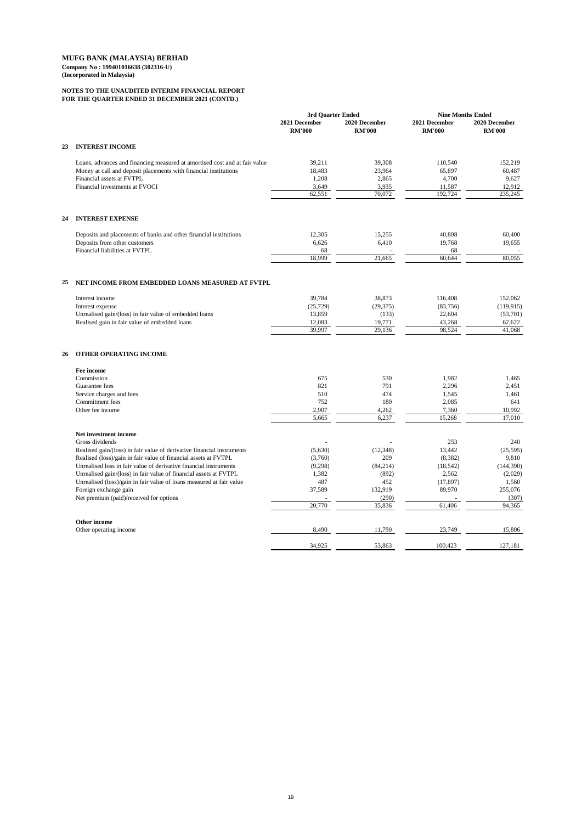## **NOTES TO THE UNAUDITED INTERIM FINANCIAL REPORT FOR THE QUARTER ENDED 31 DECEMBER 2021 (CONTD.)**

|    |                                                                            | 3rd Quarter Ended              |                                | <b>Nine Months Ended</b>       |                                |
|----|----------------------------------------------------------------------------|--------------------------------|--------------------------------|--------------------------------|--------------------------------|
|    |                                                                            | 2021 December<br><b>RM'000</b> | 2020 December<br><b>RM'000</b> | 2021 December<br><b>RM'000</b> | 2020 December<br><b>RM'000</b> |
| 23 | <b>INTEREST INCOME</b>                                                     |                                |                                |                                |                                |
|    | Loans, advances and financing measured at amortised cost and at fair value | 39,211                         | 39,308                         | 110,540                        | 152,219                        |
|    | Money at call and deposit placements with financial institutions           | 18,483                         | 23,964                         | 65,897                         | 60,487                         |
|    | Financial assets at FVTPL                                                  | 1,208                          | 2,865                          | 4,700                          | 9,627                          |
|    | Financial investments at FVOCI                                             | 3,649                          | 3,935                          | 11,587                         | 12,912                         |
|    |                                                                            | 62,551                         | 70,072                         | 192,724                        | $\overline{235,245}$           |
| 24 | <b>INTEREST EXPENSE</b>                                                    |                                |                                |                                |                                |
|    | Deposits and placements of banks and other financial institutions          | 12,305                         | 15,255                         | 40,808                         | 60,400                         |
|    | Deposits from other customers                                              | 6,626                          | 6,410                          | 19,768                         | 19,655                         |
|    | Financial liabilities at FVTPL                                             | 68                             |                                | 68                             |                                |
|    |                                                                            | 18,999                         | 21,665                         | 60,644                         | 80,055                         |
| 25 | NET INCOME FROM EMBEDDED LOANS MEASURED AT FVTPL                           |                                |                                |                                |                                |
|    | Interest income                                                            | 39,784                         | 38,873                         | 116,408                        | 152,062                        |
|    | Interest expense                                                           | (25, 729)                      | (29, 375)                      | (83,756)                       | (119, 915)                     |
|    | Unrealised gain/(loss) in fair value of embedded loans                     | 13,859                         | (133)                          | 22,604                         | (53,701)                       |
|    | Realised gain in fair value of embedded loans                              | 12,083                         | 19,771                         | 43,268                         | 62,622                         |
|    |                                                                            | 39,997                         | 29,136                         | 98,524                         | 41,068                         |
| 26 | <b>OTHER OPERATING INCOME</b>                                              |                                |                                |                                |                                |
|    | Fee income                                                                 |                                |                                |                                |                                |
|    | Commission                                                                 | 675                            | 530                            | 1,982                          | 1,465                          |
|    | Guarantee fees                                                             | 821                            | 791                            | 2,296                          | 2,451                          |
|    | Service charges and fees                                                   | 510                            | 474                            | 1,545                          | 1,461                          |
|    | <b>Commitment</b> fees                                                     | 752                            | 180                            | 2,085                          | 641                            |
|    | Other fee income                                                           | 2,907                          | 4,262                          | 7,360                          | 10,992                         |
|    |                                                                            | 5,665                          | 6,237                          | 15,268                         | 17,010                         |
|    | <b>Net investment income</b><br>Gross dividends                            |                                |                                | 253                            | 240                            |
|    | Realised gain/(loss) in fair value of derivative financial instruments     | (5,630)                        | (12, 348)                      | 13,442                         | (25,595)                       |
|    | Realised (loss)/gain in fair value of financial assets at FVTPL            | (3,760)                        | 209                            | (8,382)                        | 9,810                          |
|    | Unrealised loss in fair value of derivative financial instruments          | (9,298)                        | (84,214)                       | (18, 542)                      | (144, 390)                     |
|    |                                                                            |                                |                                |                                |                                |

| Unrealised gain/(loss) in fair value of financial assets at FVTPL    | 1,382  | (892)   | 2,562                    | (2,029) |
|----------------------------------------------------------------------|--------|---------|--------------------------|---------|
| Unrealised (loss)/gain in fair value of loans measured at fair value | 487    | 452     | (17, 897)                | 1,560   |
| Foreign exchange gain                                                | 37,589 | 132,919 | 89,970                   | 255,076 |
| Net premium (paid)/received for options                              |        | (290)   | $\overline{\phantom{0}}$ | (307)   |
|                                                                      | 20,770 | 35,836  | 61,406                   | 94,365  |
| Other income                                                         |        |         |                          |         |
| Other operating income                                               | 8,490  | 11,790  | 23,749                   | 15,806  |
|                                                                      | 34,925 | 53,863  | 100,423                  | 127,181 |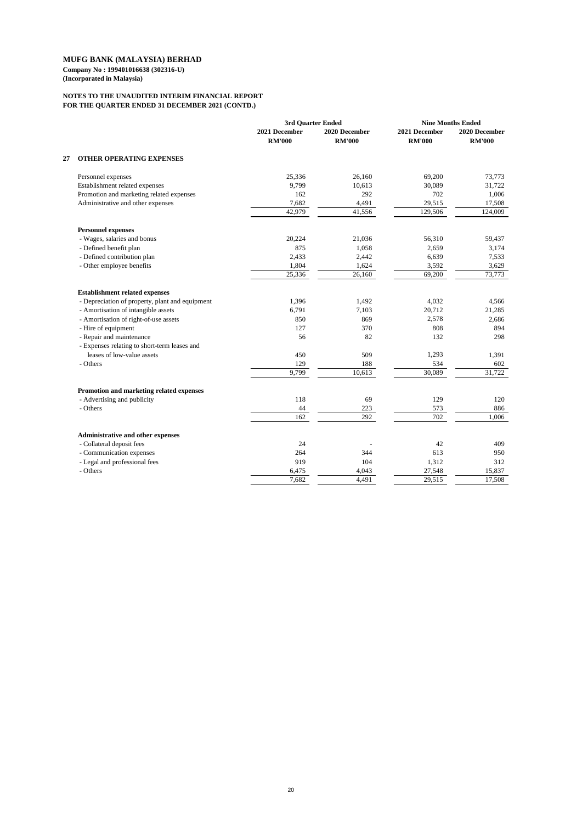## **NOTES TO THE UNAUDITED INTERIM FINANCIAL REPORT FOR THE QUARTER ENDED 31 DECEMBER 2021 (CONTD.)**

|    |                                                 | 3rd Quarter Ended              |                                | <b>Nine Months Ended</b>       |                                |
|----|-------------------------------------------------|--------------------------------|--------------------------------|--------------------------------|--------------------------------|
|    |                                                 | 2021 December<br><b>RM'000</b> | 2020 December<br><b>RM'000</b> | 2021 December<br><b>RM'000</b> | 2020 December<br><b>RM'000</b> |
| 27 | <b>OTHER OPERATING EXPENSES</b>                 |                                |                                |                                |                                |
|    | Personnel expenses                              | 25,336                         | 26,160                         | 69,200                         | 73,773                         |
|    | Establishment related expenses                  | 9,799                          | 10,613                         | 30,089                         | 31,722                         |
|    | Promotion and marketing related expenses        | 162                            | 292                            | 702                            | 1,006                          |
|    | Administrative and other expenses               | 7,682                          | 4,491                          | 29,515                         | 17,508                         |
|    |                                                 | 42,979                         | 41,556                         | 129,506                        | 124,009                        |
|    | <b>Personnel expenses</b>                       |                                |                                |                                |                                |
|    | - Wages, salaries and bonus                     | 20,224                         | 21,036                         | 56,310                         | 59,437                         |
|    | - Defined benefit plan                          | 875                            | 1,058                          | 2,659                          | 3,174                          |
|    | - Defined contribution plan                     | 2,433                          | 2,442                          | 6,639                          | 7,533                          |
|    | - Other employee benefits                       | 1,804                          | 1,624                          | 3,592                          | 3,629                          |
|    |                                                 | 25,336                         | 26,160                         | 69,200                         | 73,773                         |
|    | <b>Establishment related expenses</b>           |                                |                                |                                |                                |
|    | - Depreciation of property, plant and equipment | 1,396                          | 1,492                          | 4,032                          | 4,566                          |
|    | - Amortisation of intangible assets             | 6,791                          | 7,103                          | 20,712                         | 21,285                         |
|    | - Amortisation of right-of-use assets           | 850                            | 869                            | 2,578                          | 2,686                          |
|    | - Hire of equipment                             | 127                            | 370                            | 808                            | 894                            |
|    | - Repair and maintenance                        | 56                             | 82                             | 132                            | 298                            |
|    | - Expenses relating to short-term leases and    |                                |                                |                                |                                |
|    | leases of low-value assets                      | 450                            | 509                            | 1,293                          | 1,391                          |
|    | - Others                                        | 129                            | 188                            | 534                            | 602                            |
|    |                                                 | 9,799                          | 10,613                         | 30,089                         | 31,722                         |
|    | Promotion and marketing related expenses        |                                |                                |                                |                                |
|    | - Advertising and publicity                     | 118                            | 69                             | 129                            | 120                            |
|    | - Others                                        | 44                             | 223                            | 573                            | 886                            |
|    |                                                 | 162                            | 292                            | 702                            | 1,006                          |
|    | <b>Administrative and other expenses</b>        |                                |                                |                                |                                |
|    | - Collateral deposit fees                       | 24                             |                                | 42                             | 409                            |
|    | - Communication expenses                        | 264                            | 344                            | 613                            | 950                            |
|    | - Legal and professional fees                   | 919                            | 104                            | 1,312                          | 312                            |
|    | - Others                                        | 6,475                          | 4,043                          | 27,548                         | 15,837                         |
|    |                                                 | 7,682                          | 4,491                          | 29,515                         | 17,508                         |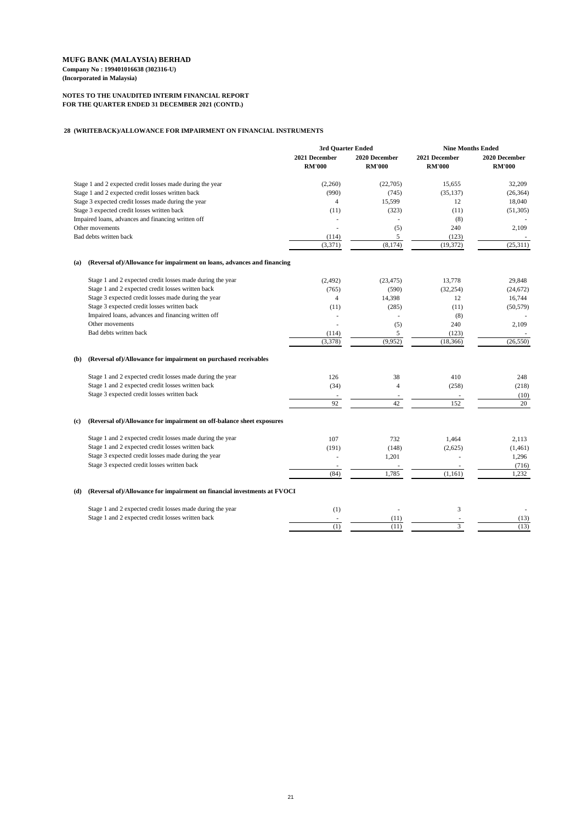## **NOTES TO THE UNAUDITED INTERIM FINANCIAL REPORT FOR THE QUARTER ENDED 31 DECEMBER 2021 (CONTD.)**

### **28 (WRITEBACK)/ALLOWANCE FOR IMPAIRMENT ON FINANCIAL INSTRUMENTS**

|                                                                                |                                | 3rd Quarter Ended              |                                | <b>Nine Months Ended</b>       |  |
|--------------------------------------------------------------------------------|--------------------------------|--------------------------------|--------------------------------|--------------------------------|--|
|                                                                                | 2021 December<br><b>RM'000</b> | 2020 December<br><b>RM'000</b> | 2021 December<br><b>RM'000</b> | 2020 December<br><b>RM'000</b> |  |
| Stage 1 and 2 expected credit losses made during the year                      | (2,260)                        | (22,705)                       | 15,655                         | 32,209                         |  |
| Stage 1 and 2 expected credit losses written back                              | (990)                          | (745)                          | (35, 137)                      | (26, 364)                      |  |
| Stage 3 expected credit losses made during the year                            | 4                              | 15,599                         | 12                             | 18,040                         |  |
| Stage 3 expected credit losses written back                                    | (11)                           | (323)                          | (11)                           | (51,305)                       |  |
| Impaired loans, advances and financing written off                             |                                |                                | (8)                            |                                |  |
| Other movements                                                                |                                | (5)                            | 240                            | 2,109                          |  |
| Bad debts written back                                                         | (114)                          | 5                              | (123)                          |                                |  |
|                                                                                | (3,371)                        | (8,174)                        | (19, 372)                      | (25,311)                       |  |
| (Reversal of)/Allowance for impairment on loans, advances and financing<br>(a) |                                |                                |                                |                                |  |
| Stage 1 and 2 expected credit losses made during the year                      | (2, 492)                       | (23, 475)                      | 13,778                         | 29,848                         |  |
| Stage 1 and 2 expected credit losses written back                              | (765)                          | (590)                          | (32, 254)                      | (24, 672)                      |  |
| Stage 3 expected credit losses made during the year                            | 4                              | 14,398                         | 12                             | 16,744                         |  |
| Stage 3 expected credit losses written back                                    | (11)                           | (285)                          | (11)                           | (50, 579)                      |  |
| Impaired loans, advances and financing written off                             |                                |                                | (8)                            |                                |  |
| Other movements                                                                |                                | (5)                            | 240                            | 2,109                          |  |
| Bad debts written back                                                         | (114)                          | 5                              | (123)                          |                                |  |
|                                                                                | (3,378)                        | (9,952)                        | (18, 366)                      | (26, 550)                      |  |
| (Reversal of)/Allowance for impairment on purchased receivables<br><b>(b)</b>  |                                |                                |                                |                                |  |
| Stage 1 and 2 expected credit losses made during the year                      | 126                            | 38                             | 410                            | 248                            |  |
| Stage 1 and 2 expected credit losses written back                              | (34)                           | 4                              | (258)                          | (218)                          |  |
| Stage 3 expected credit losses written back                                    |                                |                                |                                | (10)                           |  |
|                                                                                | 92                             | 42                             | 152                            | 20                             |  |
| (Reversal of)/Allowance for impairment on off-balance sheet exposures<br>(c)   |                                |                                |                                |                                |  |
| Stage 1 and 2 expected credit losses made during the year                      | 107                            | 732                            | 1,464                          | 2,113                          |  |
| Stage 1 and 2 expected credit losses written back                              | (191)                          | (148)                          | (2,625)                        | (1,461)                        |  |
| Stage 3 expected credit losses made during the year                            |                                | 1,201                          |                                | 1,296                          |  |
| Stage 3 expected credit losses written back                                    |                                |                                |                                | (716)                          |  |
|                                                                                | (84)                           | 1,785                          | (1,161)                        | 1,232                          |  |

## **(d) (Reversal of)/Allowance for impairment on financial investments at FVOCI**

| Stage 1 and 2 expected credit losses made during the year |  |  |
|-----------------------------------------------------------|--|--|
| Stage 1 and 2 expected credit losses written back         |  |  |
|                                                           |  |  |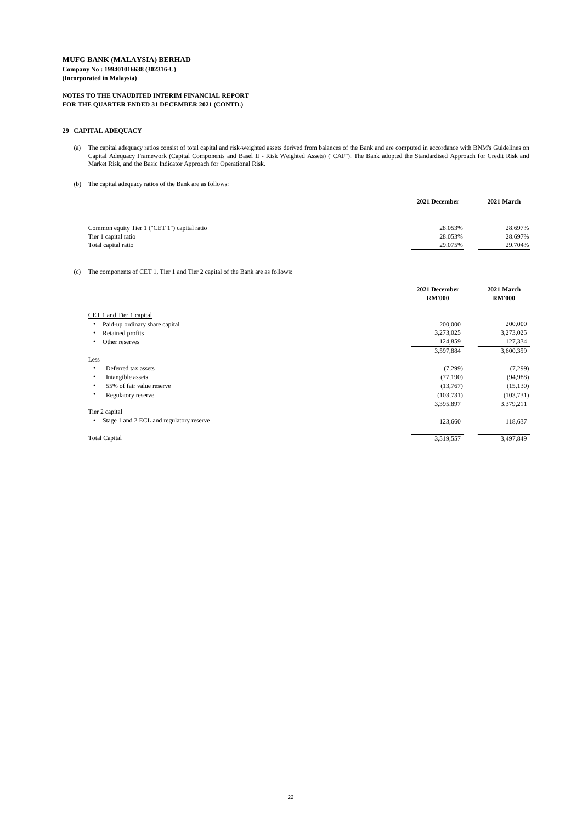### **NOTES TO THE UNAUDITED INTERIM FINANCIAL REPORT FOR THE QUARTER ENDED 31 DECEMBER 2021 (CONTD.)**

### **29 CAPITAL ADEQUACY**

- (a) The capital adequacy ratios consist of total capital and risk-weighted assets derived from balances of the Bank and are computed in accordance with BNM's Guidelines on Capital Adequacy Framework (Capital Components and Basel II - Risk Weighted Assets) ("CAF"). The Bank adopted the Standardised Approach for Credit Risk and Market Risk, and the Basic Indicator Approach for Operational Risk.
- (b) The capital adequacy ratios of the Bank are as follows:

|                                              | 2021 December | 2021 March |
|----------------------------------------------|---------------|------------|
|                                              |               |            |
| Common equity Tier 1 ("CET 1") capital ratio | 28.053%       | 28.697%    |
| Tier 1 capital ratio                         | 28.053%       | 28.697%    |
| Total capital ratio                          | 29.075%       | 29.704%    |

### (c) The components of CET 1, Tier 1 and Tier 2 capital of the Bank are as follows:

|                                          | 2021 December<br><b>RM'000</b> | 2021 March<br><b>RM'000</b> |
|------------------------------------------|--------------------------------|-----------------------------|
| CET 1 and Tier 1 capital                 |                                |                             |
| Paid-up ordinary share capital           | 200,000                        | 200,000                     |
| Retained profits                         | 3,273,025                      | 3,273,025                   |
| Other reserves                           | 124,859                        | 127,334                     |
|                                          | 3,597,884                      | 3,600,359                   |
| Less                                     |                                |                             |
| Deferred tax assets                      | (7,299)                        | (7,299)                     |
| Intangible assets                        | (77,190)                       | (94, 988)                   |
| 55% of fair value reserve                | (13,767)                       | (15, 130)                   |
| Regulatory reserve                       | (103, 731)                     | (103, 731)                  |
|                                          | 3,395,897                      | 3,379,211                   |
| Tier 2 capital                           |                                |                             |
| Stage 1 and 2 ECL and regulatory reserve | 123,660                        | 118,637                     |
| <b>Total Capital</b>                     | 3,519,557                      | 3,497,849                   |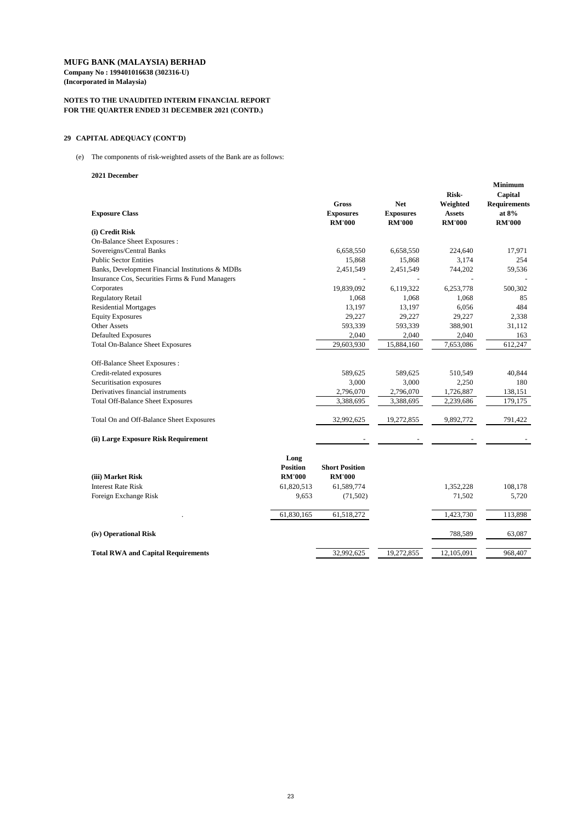**Company No : 199401016638 (302316-U) (Incorporated in Malaysia)**

### **NOTES TO THE UNAUDITED INTERIM FINANCIAL REPORT FOR THE QUARTER ENDED 31 DECEMBER 2021 (CONTD.)**

## **29 CAPITAL ADEQUACY (CONT'D)**

(e) The components of risk-weighted assets of the Bank are as follows:

### **2021 December**

| <b>Exposure Class</b>                            |                         | <b>Gross</b><br><b>Exposures</b><br><b>RM'000</b> | <b>Net</b><br><b>Exposures</b><br><b>RM'000</b> | <b>Risk-</b><br>Weighted<br><b>Assets</b><br><b>RM'000</b> | <b>Minimum</b><br>Capital<br><b>Requirements</b><br>at $8\%$<br><b>RM'000</b> |
|--------------------------------------------------|-------------------------|---------------------------------------------------|-------------------------------------------------|------------------------------------------------------------|-------------------------------------------------------------------------------|
| (i) Credit Risk                                  |                         |                                                   |                                                 |                                                            |                                                                               |
| On-Balance Sheet Exposures :                     |                         |                                                   |                                                 |                                                            |                                                                               |
| Sovereigns/Central Banks                         |                         | 6,658,550                                         | 6,658,550                                       | 224,640                                                    | 17,971                                                                        |
| <b>Public Sector Entities</b>                    |                         | 15,868                                            | 15,868                                          | 3,174                                                      | 254                                                                           |
| Banks, Development Financial Institutions & MDBs |                         | 2,451,549                                         | 2,451,549                                       | 744,202                                                    | 59,536                                                                        |
| Insurance Cos, Securities Firms & Fund Managers  |                         |                                                   |                                                 |                                                            |                                                                               |
| Corporates                                       |                         | 19,839,092                                        | 6,119,322                                       | 6,253,778                                                  | 500,302                                                                       |
| <b>Regulatory Retail</b>                         |                         | 1,068                                             | 1,068                                           | 1,068                                                      | 85                                                                            |
| <b>Residential Mortgages</b>                     |                         | 13,197                                            | 13,197                                          | 6,056                                                      | 484                                                                           |
| <b>Equity Exposures</b>                          |                         | 29,227                                            | 29,227                                          | 29,227                                                     | 2,338                                                                         |
| <b>Other Assets</b>                              |                         | 593,339                                           | 593,339                                         | 388,901                                                    | 31,112                                                                        |
| <b>Defaulted Exposures</b>                       |                         | 2,040                                             | 2,040                                           | 2,040                                                      | 163                                                                           |
| <b>Total On-Balance Sheet Exposures</b>          |                         | 29,603,930                                        | 15,884,160                                      | 7,653,086                                                  | 612,247                                                                       |
| Off-Balance Sheet Exposures :                    |                         |                                                   |                                                 |                                                            |                                                                               |
| Credit-related exposures                         |                         | 589,625                                           | 589,625                                         | 510,549                                                    | 40,844                                                                        |
| Securitisation exposures                         |                         | 3,000                                             | 3,000                                           | 2,250                                                      | 180                                                                           |
| Derivatives financial instruments                |                         | 2,796,070                                         | 2,796,070                                       | 1,726,887                                                  | 138,151                                                                       |
| <b>Total Off-Balance Sheet Exposures</b>         |                         | 3,388,695                                         | 3,388,695                                       | 2,239,686                                                  | 179,175                                                                       |
| Total On and Off-Balance Sheet Exposures         |                         | 32,992,625                                        | 19,272,855                                      | 9,892,772                                                  | 791,422                                                                       |
| (ii) Large Exposure Risk Requirement             |                         |                                                   |                                                 |                                                            |                                                                               |
|                                                  | Long<br><b>Position</b> | <b>Short Position</b>                             |                                                 |                                                            |                                                                               |
| (iii) Market Risk                                | <b>RM'000</b>           | <b>RM'000</b>                                     |                                                 |                                                            |                                                                               |
| <b>Interest Rate Risk</b>                        | 61,820,513              | 61,589,774                                        |                                                 | 1,352,228                                                  | 108,178                                                                       |
| Foreign Exchange Risk                            | 9,653                   | (71,502)                                          |                                                 | 71,502                                                     | 5,720                                                                         |
|                                                  | 61,830,165              | 61,518,272                                        |                                                 | 1,423,730                                                  | 113,898                                                                       |
|                                                  |                         |                                                   |                                                 |                                                            |                                                                               |

| (iv) Operational Risk                     |            |            | 788,589    | 63,087  |
|-------------------------------------------|------------|------------|------------|---------|
| <b>Total RWA and Capital Requirements</b> | 32,992,625 | 19,272,855 | 12,105,091 | 968,407 |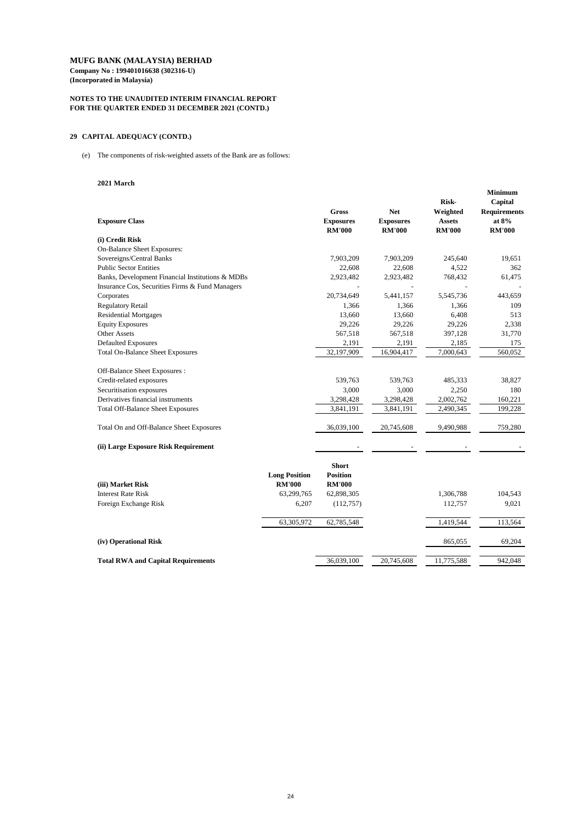# **MUFG BANK (MALAYSIA) BERHAD Company No : 199401016638 (302316-U)**

**(Incorporated in Malaysia)**

### **NOTES TO THE UNAUDITED INTERIM FINANCIAL REPORT FOR THE QUARTER ENDED 31 DECEMBER 2021 (CONTD.)**

## **29 CAPITAL ADEQUACY (CONTD.)**

(e) The components of risk-weighted assets of the Bank are as follows:

#### **2021 March**

| <b>Exposure Class</b>                            |                      | <b>Gross</b><br><b>Exposures</b><br><b>RM'000</b> | <b>Net</b><br><b>Exposures</b><br><b>RM'000</b> | <b>Risk-</b><br>Weighted<br><b>Assets</b><br><b>RM'000</b> | <b>Minimum</b><br>Capital<br><b>Requirements</b><br>at $8\%$<br><b>RM'000</b> |
|--------------------------------------------------|----------------------|---------------------------------------------------|-------------------------------------------------|------------------------------------------------------------|-------------------------------------------------------------------------------|
| (i) Credit Risk                                  |                      |                                                   |                                                 |                                                            |                                                                               |
| <b>On-Balance Sheet Exposures:</b>               |                      |                                                   |                                                 |                                                            |                                                                               |
| Sovereigns/Central Banks                         |                      | 7,903,209                                         | 7,903,209                                       | 245,640                                                    | 19,651                                                                        |
| <b>Public Sector Entities</b>                    |                      | 22,608                                            | 22,608                                          | 4,522                                                      | 362                                                                           |
| Banks, Development Financial Institutions & MDBs |                      | 2,923,482                                         | 2,923,482                                       | 768,432                                                    | 61,475                                                                        |
| Insurance Cos, Securities Firms & Fund Managers  |                      |                                                   |                                                 |                                                            |                                                                               |
| Corporates                                       |                      | 20,734,649                                        | 5,441,157                                       | 5,545,736                                                  | 443,659                                                                       |
| <b>Regulatory Retail</b>                         |                      | 1,366                                             | 1,366                                           | 1,366                                                      | 109                                                                           |
| <b>Residential Mortgages</b>                     |                      | 13,660                                            | 13,660                                          | 6,408                                                      | 513                                                                           |
| <b>Equity Exposures</b>                          |                      | 29,226                                            | 29,226                                          | 29,226                                                     | 2,338                                                                         |
| <b>Other Assets</b>                              |                      | 567,518                                           | 567,518                                         | 397,128                                                    | 31,770                                                                        |
| <b>Defaulted Exposures</b>                       |                      | 2,191                                             | 2,191                                           | 2,185                                                      | 175                                                                           |
| <b>Total On-Balance Sheet Exposures</b>          |                      | 32,197,909                                        | 16,904,417                                      | 7,000,643                                                  | 560,052                                                                       |
| Off-Balance Sheet Exposures :                    |                      |                                                   |                                                 |                                                            |                                                                               |
| Credit-related exposures                         |                      | 539,763                                           | 539,763                                         | 485,333                                                    | 38,827                                                                        |
| Securitisation exposures                         |                      | 3,000                                             | 3,000                                           | 2,250                                                      | 180                                                                           |
| Derivatives financial instruments                |                      | 3,298,428                                         | 3,298,428                                       | 2,002,762                                                  | 160,221                                                                       |
| <b>Total Off-Balance Sheet Exposures</b>         |                      | 3,841,191                                         | 3,841,191                                       | 2,490,345                                                  | 199,228                                                                       |
| Total On and Off-Balance Sheet Exposures         |                      | 36,039,100                                        | 20,745,608                                      | 9,490,988                                                  | 759,280                                                                       |
| (ii) Large Exposure Risk Requirement             |                      |                                                   |                                                 |                                                            |                                                                               |
|                                                  | <b>Long Position</b> | <b>Short</b><br><b>Position</b>                   |                                                 |                                                            |                                                                               |
| (iii) Market Risk                                | <b>RM'000</b>        | <b>RM'000</b>                                     |                                                 |                                                            |                                                                               |
| <b>Interest Rate Risk</b>                        | 63,299,765           | 62,898,305                                        |                                                 | 1,306,788                                                  | 104,543                                                                       |
| Foreign Exchange Risk                            | 6,207                | (112,757)                                         |                                                 | 112,757                                                    | 9,021                                                                         |
|                                                  | 63,305,972           | 62,785,548                                        |                                                 | 1,419,544                                                  | 113,564                                                                       |

| (iv) Operational Risk                     |            |            | 865,055    | 69,204  |
|-------------------------------------------|------------|------------|------------|---------|
|                                           |            |            |            |         |
| <b>Total RWA and Capital Requirements</b> | 36,039,100 | 20,745,608 | 11,775,588 | 942,048 |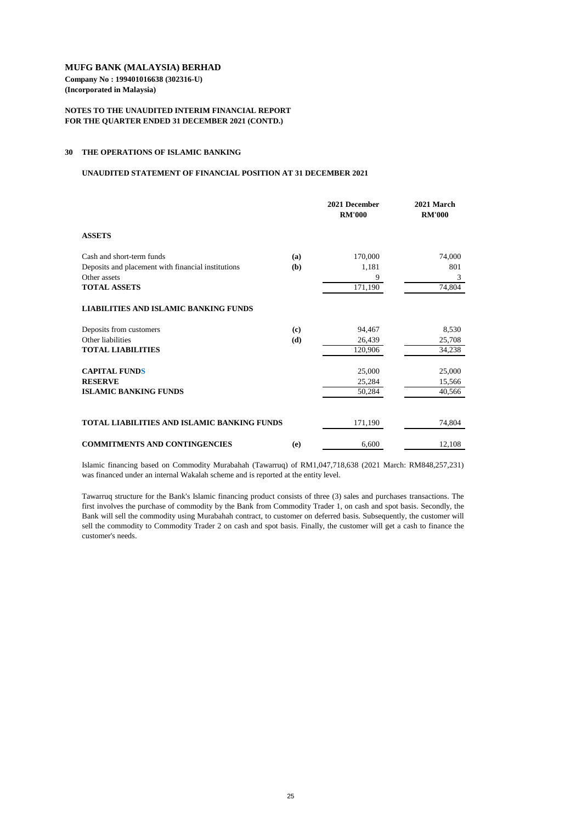**Company No : 199401016638 (302316-U) (Incorporated in Malaysia)**

### **NOTES TO THE UNAUDITED INTERIM FINANCIAL REPORT FOR THE QUARTER ENDED 31 DECEMBER 2021 (CONTD.)**

#### **30 THE OPERATIONS OF ISLAMIC BANKING**

#### **UNAUDITED STATEMENT OF FINANCIAL POSITION AT 31 DECEMBER 2021**

|                                                    |     | 2021 December<br><b>RM'000</b> | 2021 March<br><b>RM'000</b> |
|----------------------------------------------------|-----|--------------------------------|-----------------------------|
| <b>ASSETS</b>                                      |     |                                |                             |
| Cash and short-term funds                          | (a) | 170,000                        | 74,000                      |
| Deposits and placement with financial institutions | (b) | 1,181                          | 801                         |
| Other assets                                       |     | 9                              | 3                           |
| <b>TOTAL ASSETS</b>                                |     | 171,190                        | 74,804                      |
| <b>LIABILITIES AND ISLAMIC BANKING FUNDS</b>       |     |                                |                             |
| Deposits from customers                            | (c) | 94,467                         | 8,530                       |
| Other liabilities                                  | (d) | 26,439                         | 25,708                      |
| <b>TOTAL LIABILITIES</b>                           |     | 120,906                        | 34,238                      |
| <b>CAPITAL FUNDS</b>                               |     | 25,000                         | 25,000                      |
| <b>RESERVE</b>                                     |     | 25,284                         | 15,566                      |
| <b>ISLAMIC BANKING FUNDS</b>                       |     | 50,284                         | 40,566                      |
|                                                    |     |                                |                             |
| TOTAL LIABILITIES AND ISLAMIC BANKING FUNDS        |     | 171,190                        | 74,804                      |
| <b>COMMITMENTS AND CONTINGENCIES</b>               | (e) | 6,600                          | 12,108                      |

Islamic financing based on Commodity Murabahah (Tawarruq) of RM1,047,718,638 (2021 March: RM848,257,231) was financed under an internal Wakalah scheme and is reported at the entity level.

Tawarruq structure for the Bank's Islamic financing product consists of three (3) sales and purchases transactions. The first involves the purchase of commodity by the Bank from Commodity Trader 1, on cash and spot basis. Secondly, the Bank will sell the commodity using Murabahah contract, to customer on deferred basis. Subsequently, the customer will sell the commodity to Commodity Trader 2 on cash and spot basis. Finally, the customer will get a cash to finance the customer's needs.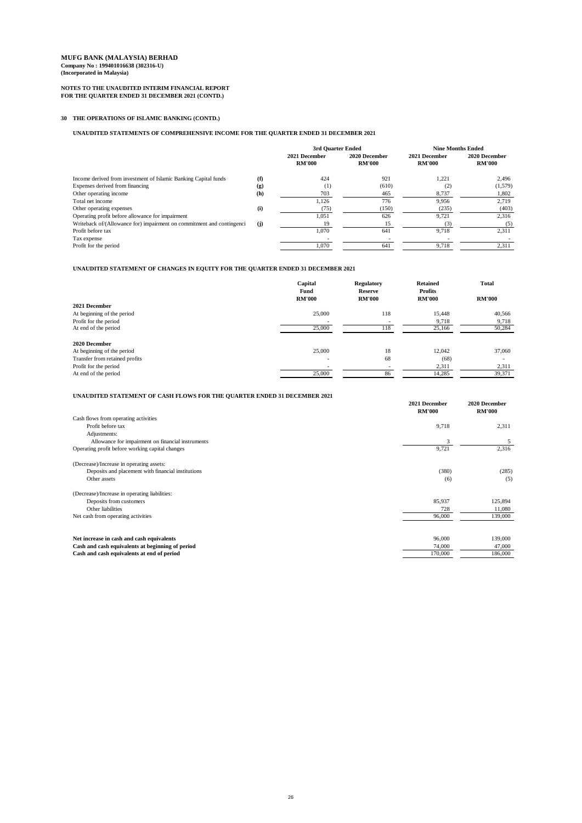### **NOTES TO THE UNAUDITED INTERIM FINANCIAL REPORT FOR THE QUARTER ENDED 31 DECEMBER 2021 (CONTD.)**

## **30 THE OPERATIONS OF ISLAMIC BANKING (CONTD.)**

## **UNAUDITED STATEMENTS OF COMPREHENSIVE INCOME FOR THE QUARTER ENDED 31 DECEMBER 2021**

## **UNAUDITED STATEMENT OF CHANGES IN EQUITY FOR THE QUARTER ENDED 31 DECEMBER 2021**

|                                | Capital<br><b>Fund</b><br><b>RM'000</b> | <b>Regulatory</b><br><b>Reserve</b><br><b>RM'000</b> | <b>Retained</b><br><b>Profits</b><br><b>RM'000</b> | <b>Total</b><br><b>RM'000</b> |
|--------------------------------|-----------------------------------------|------------------------------------------------------|----------------------------------------------------|-------------------------------|
| 2021 December                  |                                         |                                                      |                                                    |                               |
| At beginning of the period     | 25,000                                  | 118                                                  | 15,448                                             | 40,566                        |
| Profit for the period          |                                         |                                                      | 9,718                                              | 9,718                         |
| At end of the period           | 25,000                                  | 118                                                  | 25,166                                             | 50,284                        |
| 2020 December                  |                                         |                                                      |                                                    |                               |
| At beginning of the period     | 25,000                                  | 18                                                   | 12,042                                             | 37,060                        |
| Transfer from retained profits | $\overline{\phantom{0}}$                | 68                                                   | (68)                                               |                               |
| Profit for the period          |                                         |                                                      | 2,311                                              | 2,311                         |
| At end of the period           | 25,000                                  | 86                                                   | 14,285                                             | 39,371                        |

|                                                                       |     | 3rd Quarter Ended              |                                |                                |                                | <b>Nine Months Ended</b> |  |
|-----------------------------------------------------------------------|-----|--------------------------------|--------------------------------|--------------------------------|--------------------------------|--------------------------|--|
|                                                                       |     | 2021 December<br><b>RM'000</b> | 2020 December<br><b>RM'000</b> | 2021 December<br><b>RM'000</b> | 2020 December<br><b>RM'000</b> |                          |  |
| Income derived from investment of Islamic Banking Capital funds       | (f) | 424                            | 921                            | 1,221                          | 2,496                          |                          |  |
| Expenses derived from financing                                       | (g) | (1)                            | (610)                          | (2)                            | (1,579)                        |                          |  |
| Other operating income                                                | (h) | 703                            | 465                            | 8,737                          | 1,802                          |                          |  |
| Total net income                                                      |     | 1,126                          | 776                            | 9,956                          | 2,719                          |                          |  |
| Other operating expenses                                              | (i) | (75)                           | (150)                          | (235)                          | (403)                          |                          |  |
| Operating profit before allowance for impairment                      |     | 1,051                          | 626                            | 9,721                          | 2,316                          |                          |  |
| Writeback of/(Allowance for) impairment on commitment and contingenci | (j) | 19                             | 15                             | (3)                            | (5)                            |                          |  |
| Profit before tax                                                     |     | 1,070                          | 641                            | 9,718                          | 2,311                          |                          |  |
| Tax expense                                                           |     |                                |                                |                                |                                |                          |  |
| Profit for the period                                                 |     | 1,070                          | 641                            | 9,718                          | 2,311                          |                          |  |

### **UNAUDITED STATEMENT OF CASH FLOWS FOR THE QUARTER ENDED 31 DECEMBER 2021**

|                                                    | 2021 December<br><b>RM'000</b> | 2020 December<br><b>RM'000</b> |
|----------------------------------------------------|--------------------------------|--------------------------------|
| Cash flows from operating activities               |                                |                                |
| Profit before tax                                  | 9,718                          | 2,311                          |
| Adjustments:                                       |                                |                                |
| Allowance for impairment on financial instruments  | 3                              | 5                              |
| Operating profit before working capital changes    | 9,721                          | 2,316                          |
| (Decrease)/Increase in operating assets:           |                                |                                |
| Deposits and placement with financial institutions | (380)                          | (285)                          |
| Other assets                                       | (6)                            | (5)                            |
| (Decrease)/Increase in operating liabilities:      |                                |                                |
| Deposits from customers                            | 85,937                         | 125,894                        |
| Other liabilities                                  | 728                            | 11,080                         |
| Net cash from operating activities                 | 96,000                         | 139,000                        |
|                                                    |                                |                                |
| Net increase in cash and cash equivalents          | 96,000                         | 139,000                        |
| Cash and cash equivalents at beginning of period   | 74,000                         | 47,000                         |
| Cash and cash equivalents at end of period         | 170,000                        | 186,000                        |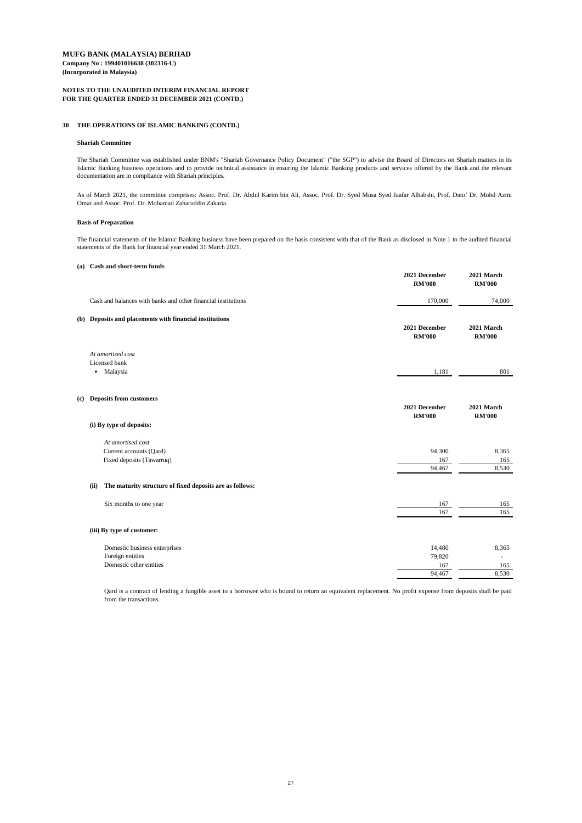### **NOTES TO THE UNAUDITED INTERIM FINANCIAL REPORT FOR THE QUARTER ENDED 31 DECEMBER 2021 (CONTD.)**

#### **30 THE OPERATIONS OF ISLAMIC BANKING (CONTD.)**

#### **Shariah Committee**

#### **Basis of Preparation**

#### **(a) Cash and short-term funds**

|                                                                           | 2021 December<br><b>RM'000</b> | 2021 March<br><b>RM'000</b> |
|---------------------------------------------------------------------------|--------------------------------|-----------------------------|
| Cash and balances with banks and other financial institutions             | 170,000                        | 74,000                      |
| (b) Deposits and placements with financial institutions                   | 2021 December<br><b>RM'000</b> | 2021 March<br><b>RM'000</b> |
| At amortised cost<br>Licensed bank<br>Malaysia<br>$\bullet$               | 1,181                          | 801                         |
| (c) Deposits from customers<br>(i) By type of deposits:                   | 2021 December<br><b>RM'000</b> | 2021 March<br><b>RM'000</b> |
| At amortised cost<br>Current accounts (Qard)<br>Fixed deposits (Tawarruq) | 94,300<br>167<br>94,467        | 8,365<br>165<br>8,530       |

#### **(ii) The maturity structure of fixed deposits are as follows:**

| Six months to one year        | 167    | 165                      |
|-------------------------------|--------|--------------------------|
|                               | 167    | 165                      |
| (iii) By type of customer:    |        |                          |
|                               |        |                          |
| Domestic business enterprises | 14,480 | 8,365                    |
| Foreign entities              | 79,820 | $\overline{\phantom{0}}$ |
| Domestic other entities       | 167    | 165                      |
|                               | 94,467 | 8,530                    |

As of March 2021, the committee comprises: Assoc. Prof. Dr. Abdul Karim bin Ali, Assoc. Prof. Dr. Syed Musa Syed Jaafar Alhabshi, Prof. Dato' Dr. Mohd Azmi Omar and Assoc. Prof. Dr. Mohamad Zaharuddin Zakaria.

The Shariah Committee was established under BNM's "Shariah Governance Policy Document" ("the SGP") to advise the Board of Directors on Shariah matters in its Islamic Banking business operations and to provide technical assistance in ensuring the Islamic Banking products and services offered by the Bank and the relevant documentation are in compliance with Shariah principles.

The financial statements of the Islamic Banking business have been prepared on the basis consistent with that of the Bank as disclosed in Note 1 to the audited financial statements of the Bank for financial year ended 31 March 2021.

Qard is a contract of lending a fungible asset to a borrower who is bound to return an equivalent replacement. No profit expense from deposits shall be paid from the transactions.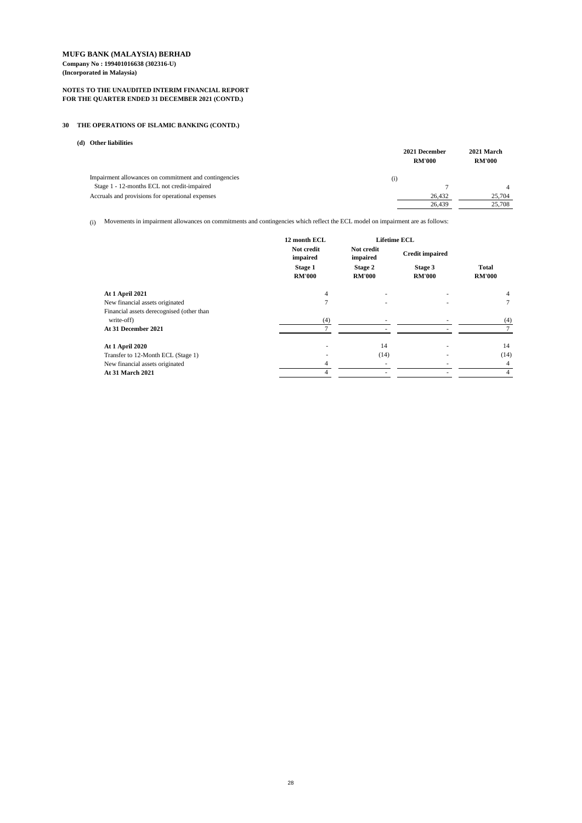### **NOTES TO THE UNAUDITED INTERIM FINANCIAL REPORT FOR THE QUARTER ENDED 31 DECEMBER 2021 (CONTD.)**

## **30 THE OPERATIONS OF ISLAMIC BANKING (CONTD.)**

### **(d) Other liabilities**

| 2021 December<br><b>RM'000</b>                               | <b>RM'000</b> | 2021 March |
|--------------------------------------------------------------|---------------|------------|
| Impairment allowances on commitment and contingencies<br>(i) |               |            |
| Stage 1 - 12-months ECL not credit-impaired                  |               |            |
| Accruals and provisions for operational expenses             | 26,432        | 25,704     |
|                                                              | 26,439        | 25,708     |

(i) Movements in impairment allowances on commitments and contingencies which reflect the ECL model on impairment are as follows:

|                                           | 12 month ECL                    |                                 | <b>Lifetime ECL</b>      |                               |
|-------------------------------------------|---------------------------------|---------------------------------|--------------------------|-------------------------------|
|                                           | Not credit<br>impaired          | Not credit<br>impaired          | <b>Credit impaired</b>   |                               |
|                                           | <b>Stage 1</b><br><b>RM'000</b> | <b>Stage 2</b><br><b>RM'000</b> | Stage 3<br><b>RM'000</b> | <b>Total</b><br><b>RM'000</b> |
| <b>At 1 April 2021</b>                    | 4                               |                                 |                          | 4                             |
| New financial assets originated           |                                 |                                 |                          | $\tau$                        |
| Financial assets derecognised (other than |                                 |                                 |                          |                               |
| write-off)                                | (4)                             |                                 |                          | (4)                           |
| At 31 December 2021                       |                                 |                                 |                          |                               |
| <b>At 1 April 2020</b>                    |                                 | 14                              |                          | 14                            |
| Transfer to 12-Month ECL (Stage 1)        |                                 | (14)                            |                          | (14)                          |
| New financial assets originated           | 4                               |                                 |                          | 4                             |
| <b>At 31 March 2021</b>                   |                                 |                                 |                          | $\overline{4}$                |
|                                           |                                 |                                 |                          |                               |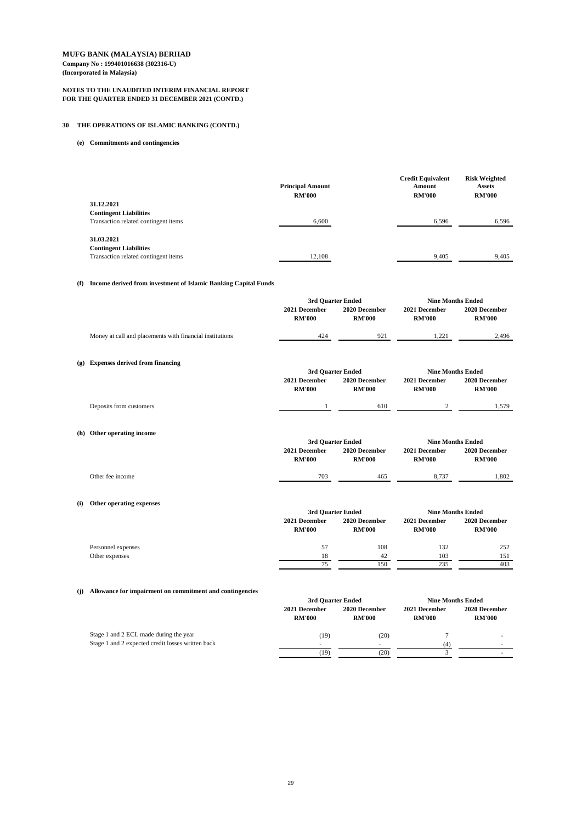### **NOTES TO THE UNAUDITED INTERIM FINANCIAL REPORT FOR THE QUARTER ENDED 31 DECEMBER 2021 (CONTD.)**

## **30 THE OPERATIONS OF ISLAMIC BANKING (CONTD.)**

### **(e) Commitments and contingencies**

|                                      | <b>Principal Amount</b> | <b>Credit Equivalent</b><br>Amount | <b>Risk Weighted</b><br><b>Assets</b> |
|--------------------------------------|-------------------------|------------------------------------|---------------------------------------|
|                                      | <b>RM'000</b>           | <b>RM'000</b>                      | <b>RM'000</b>                         |
| 31.12.2021                           |                         |                                    |                                       |
| <b>Contingent Liabilities</b>        |                         |                                    |                                       |
| Transaction related contingent items | 6,600                   | 6,596                              | 6,596                                 |
|                                      |                         |                                    |                                       |
| 31.03.2021                           |                         |                                    |                                       |
| <b>Contingent Liabilities</b>        |                         |                                    |                                       |
| Transaction related contingent items | 12,108                  | 9,405                              | 9,405                                 |

### **(f) Income derived from investment of Islamic Banking Capital Funds**

#### **(i) Other operating expenses**

|                                                          | 3rd Quarter Ended              |                                | <b>Nine Months Ended</b>       |                                |
|----------------------------------------------------------|--------------------------------|--------------------------------|--------------------------------|--------------------------------|
|                                                          | 2021 December<br><b>RM'000</b> | 2020 December<br><b>RM'000</b> | 2021 December<br><b>RM'000</b> | 2020 December<br><b>RM'000</b> |
| Money at call and placements with financial institutions | 424                            | 921                            | 1,221                          | 2,496                          |
| (g) Expenses derived from financing                      |                                |                                |                                |                                |
|                                                          | 3rd Quarter Ended              |                                |                                | <b>Nine Months Ended</b>       |
|                                                          | 2021 December<br><b>RM'000</b> | 2020 December<br><b>RM'000</b> | 2021 December<br><b>RM'000</b> | 2020 December<br><b>RM'000</b> |
| Deposits from customers                                  |                                | 610                            | $\overline{2}$                 | 1,579                          |
| (h) Other operating income                               |                                |                                |                                |                                |
|                                                          | 3rd Quarter Ended              |                                | <b>Nine Months Ended</b>       |                                |
|                                                          | 2021 December                  | 2020 December                  | 2021 December                  | 2020 December                  |
|                                                          | <b>RM'000</b>                  | <b>RM'000</b>                  | <b>RM'000</b>                  | <b>RM'000</b>                  |
| Other fee income                                         | 703                            | 465                            | 8,737                          | 1,802                          |

## **(j) Allowance for impairment on commitment and contingencies**

|                    |                                | 3rd Quarter Ended              |                                | <b>Nine Months Ended</b>       |  |
|--------------------|--------------------------------|--------------------------------|--------------------------------|--------------------------------|--|
|                    | 2021 December<br><b>RM'000</b> | 2020 December<br><b>RM'000</b> | 2021 December<br><b>RM'000</b> | 2020 December<br><b>RM'000</b> |  |
| Personnel expenses | 57                             | 108                            | 132                            | 252                            |  |
| Other expenses     | 18                             | 42                             | 103                            | 151                            |  |
|                    | 75                             | 150                            | 235                            | 403                            |  |

|                                                   | 3rd Quarter Ended              |                                | <b>Nine Months Ended</b>       |                                |
|---------------------------------------------------|--------------------------------|--------------------------------|--------------------------------|--------------------------------|
|                                                   | 2021 December<br><b>RM'000</b> | 2020 December<br><b>RM'000</b> | 2021 December<br><b>RM'000</b> | 2020 December<br><b>RM'000</b> |
| Stage 1 and 2 ECL made during the year            | (19)                           | (20)                           |                                |                                |
| Stage 1 and 2 expected credit losses written back |                                | $\overline{\phantom{0}}$       | $\left(4\right)$               |                                |
|                                                   | (19)                           | (20)                           |                                |                                |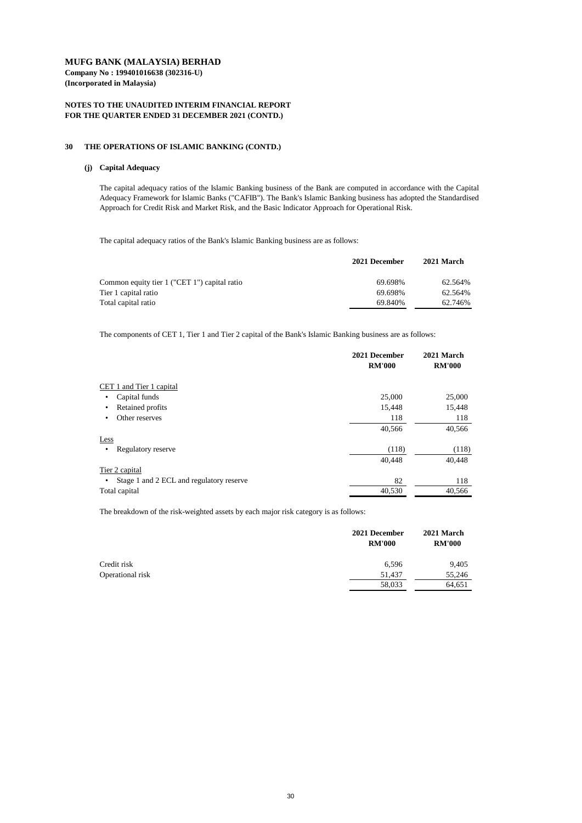**Company No : 199401016638 (302316-U) (Incorporated in Malaysia)**

### **NOTES TO THE UNAUDITED INTERIM FINANCIAL REPORT FOR THE QUARTER ENDED 31 DECEMBER 2021 (CONTD.)**

#### **30 THE OPERATIONS OF ISLAMIC BANKING (CONTD.)**

### **(j) Capital Adequacy**

The capital adequacy ratios of the Bank's Islamic Banking business are as follows:

|                                              | 2021 December | 2021 March |
|----------------------------------------------|---------------|------------|
| Common equity tier 1 ("CET 1") capital ratio | 69.698%       | 62.564%    |
| Tier 1 capital ratio                         | 69.698%       | 62.564%    |
| Total capital ratio                          | 69.840%       | 62.746%    |

The components of CET 1, Tier 1 and Tier 2 capital of the Bank's Islamic Banking business are as follows:

|                                               | 2021 December<br><b>RM'000</b> | 2021 March<br><b>RM'000</b> |
|-----------------------------------------------|--------------------------------|-----------------------------|
| CET 1 and Tier 1 capital                      |                                |                             |
| Capital funds<br>٠                            | 25,000                         | 25,000                      |
| Retained profits<br>$\bullet$                 | 15,448                         | 15,448                      |
| Other reserves<br>٠                           | 118                            | 118                         |
|                                               | 40,566                         | 40,566                      |
| Less                                          |                                |                             |
| Regulatory reserve<br>$\bullet$               | (118)                          | (118)                       |
|                                               | 40,448                         | 40,448                      |
| Tier 2 capital                                |                                |                             |
| Stage 1 and 2 ECL and regulatory reserve<br>٠ | 82                             | 118                         |
| Total capital                                 | 40,530                         | 40,566                      |

The breakdown of the risk-weighted assets by each major risk category is as follows:

|                  | 2021 December<br><b>RM'000</b> | 2021 March<br><b>RM'000</b> |
|------------------|--------------------------------|-----------------------------|
| Credit risk      | 6,596                          | 9,405                       |
| Operational risk | 51,437                         | 55,246                      |
|                  | 58,033                         | 64,651                      |

The capital adequacy ratios of the Islamic Banking business of the Bank are computed in accordance with the Capital Adequacy Framework for Islamic Banks ("CAFIB"). The Bank's Islamic Banking business has adopted the Standardised Approach for Credit Risk and Market Risk, and the Basic Indicator Approach for Operational Risk.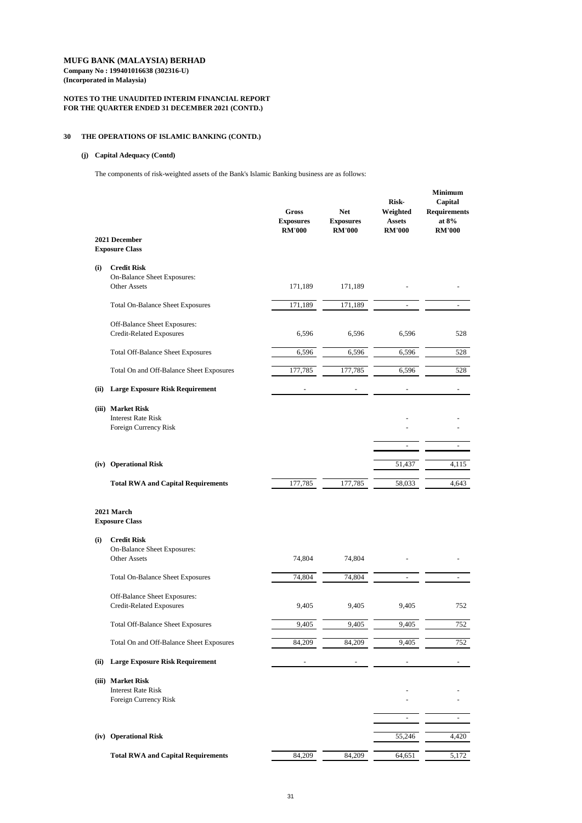### **NOTES TO THE UNAUDITED INTERIM FINANCIAL REPORT FOR THE QUARTER ENDED 31 DECEMBER 2021 (CONTD.)**

### **30 THE OPERATIONS OF ISLAMIC BANKING (CONTD.)**

## **(j) Capital Adequacy (Contd)**

The components of risk-weighted assets of the Bank's Islamic Banking business are as follows:

| 2021 December<br><b>Exposure Class</b>    | <b>Gross</b><br><b>Exposures</b><br><b>RM'000</b> | <b>Net</b><br><b>Exposures</b><br><b>RM'000</b> | <b>Risk-</b><br>Weighted<br><b>Assets</b><br><b>RM'000</b> | <b>Minimum</b><br>Capital<br><b>Requirements</b><br>at $8%$<br><b>RM'000</b> |
|-------------------------------------------|---------------------------------------------------|-------------------------------------------------|------------------------------------------------------------|------------------------------------------------------------------------------|
| <b>Credit Risk</b>                        |                                                   |                                                 |                                                            |                                                                              |
|                                           |                                                   |                                                 |                                                            |                                                                              |
| <b>Other Assets</b>                       | 171,189                                           | 171,189                                         |                                                            |                                                                              |
| <b>Total On-Balance Sheet Exposures</b>   | 171,189                                           | 171,189                                         |                                                            |                                                                              |
| Off-Balance Sheet Exposures:              |                                                   |                                                 |                                                            |                                                                              |
| <b>Credit-Related Exposures</b>           | 6,596                                             | 6,596                                           | 6,596                                                      | 528                                                                          |
| <b>Total Off-Balance Sheet Exposures</b>  | 6,596                                             | 6,596                                           | 6,596                                                      | 528                                                                          |
| Total On and Off-Balance Sheet Exposures  | 177,785                                           | 177,785                                         | 6,596                                                      | 528                                                                          |
| <b>Large Exposure Risk Requirement</b>    |                                                   |                                                 |                                                            |                                                                              |
| (iii) Market Risk                         |                                                   |                                                 |                                                            |                                                                              |
| <b>Interest Rate Risk</b>                 |                                                   |                                                 |                                                            |                                                                              |
| Foreign Currency Risk                     |                                                   |                                                 |                                                            |                                                                              |
|                                           |                                                   |                                                 |                                                            |                                                                              |
| <b>Operational Risk</b>                   |                                                   |                                                 | 51,437                                                     | 4,115                                                                        |
| <b>Total RWA and Capital Requirements</b> | 177,785                                           | 177,785                                         | 58,033                                                     | 4,643                                                                        |
|                                           | <b>On-Balance Sheet Exposures:</b>                |                                                 |                                                            |                                                                              |

### **(i) Credit Risk**

|       | <b>On-Balance Sheet Exposures:</b>        |        |        |        |       |
|-------|-------------------------------------------|--------|--------|--------|-------|
|       | <b>Other Assets</b>                       | 74,804 | 74,804 |        |       |
|       | <b>Total On-Balance Sheet Exposures</b>   | 74,804 | 74,804 |        |       |
|       | <b>Off-Balance Sheet Exposures:</b>       |        |        |        |       |
|       | <b>Credit-Related Exposures</b>           | 9,405  | 9,405  | 9,405  | 752   |
|       | <b>Total Off-Balance Sheet Exposures</b>  | 9,405  | 9,405  | 9,405  | 752   |
|       | Total On and Off-Balance Sheet Exposures  | 84,209 | 84,209 | 9,405  | 752   |
| (ii)  | <b>Large Exposure Risk Requirement</b>    |        |        |        |       |
| (iii) | <b>Market Risk</b>                        |        |        |        |       |
|       | <b>Interest Rate Risk</b>                 |        |        |        |       |
|       | Foreign Currency Risk                     |        |        |        |       |
|       |                                           |        |        |        |       |
|       |                                           |        |        |        |       |
| (iv)  | <b>Operational Risk</b>                   |        |        | 55,246 | 4,420 |
|       | <b>Total RWA and Capital Requirements</b> | 84,209 | 84,209 | 64,651 | 5,172 |